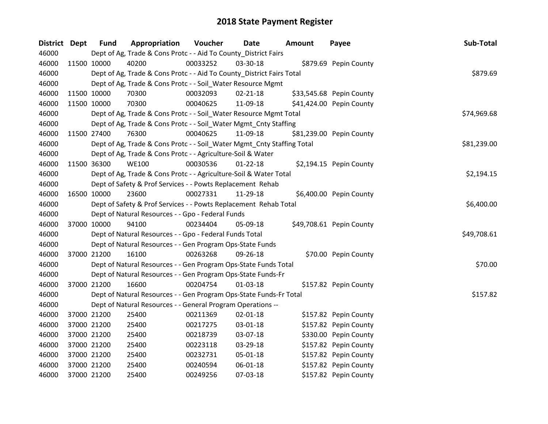| District Dept |             | <b>Fund</b> | Appropriation                                                          | Voucher  | Date           | <b>Amount</b> | Payee                    | Sub-Total   |
|---------------|-------------|-------------|------------------------------------------------------------------------|----------|----------------|---------------|--------------------------|-------------|
| 46000         |             |             | Dept of Ag, Trade & Cons Protc - - Aid To County_District Fairs        |          |                |               |                          |             |
| 46000         | 11500 10000 |             | 40200                                                                  | 00033252 | 03-30-18       |               | \$879.69 Pepin County    |             |
| 46000         |             |             | Dept of Ag, Trade & Cons Protc - - Aid To County_District Fairs Total  |          |                |               |                          | \$879.69    |
| 46000         |             |             | Dept of Ag, Trade & Cons Protc - - Soil_Water Resource Mgmt            |          |                |               |                          |             |
| 46000         |             | 11500 10000 | 70300                                                                  | 00032093 | 02-21-18       |               | \$33,545.68 Pepin County |             |
| 46000         |             | 11500 10000 | 70300                                                                  | 00040625 | 11-09-18       |               | \$41,424.00 Pepin County |             |
| 46000         |             |             | Dept of Ag, Trade & Cons Protc - - Soil_Water Resource Mgmt Total      |          |                |               |                          | \$74,969.68 |
| 46000         |             |             | Dept of Ag, Trade & Cons Protc - - Soil_Water Mgmt_Cnty Staffing       |          |                |               |                          |             |
| 46000         |             | 11500 27400 | 76300                                                                  | 00040625 | 11-09-18       |               | \$81,239.00 Pepin County |             |
| 46000         |             |             | Dept of Ag, Trade & Cons Protc - - Soil_Water Mgmt_Cnty Staffing Total |          |                |               |                          | \$81,239.00 |
| 46000         |             |             | Dept of Ag, Trade & Cons Protc - - Agriculture-Soil & Water            |          |                |               |                          |             |
| 46000         |             | 11500 36300 | <b>WE100</b>                                                           | 00030536 | $01 - 22 - 18$ |               | \$2,194.15 Pepin County  |             |
| 46000         |             |             | Dept of Ag, Trade & Cons Protc - - Agriculture-Soil & Water Total      |          |                |               |                          | \$2,194.15  |
| 46000         |             |             | Dept of Safety & Prof Services - - Powts Replacement Rehab             |          |                |               |                          |             |
| 46000         |             | 16500 10000 | 23600                                                                  | 00027331 | 11-29-18       |               | \$6,400.00 Pepin County  |             |
| 46000         |             |             | Dept of Safety & Prof Services - - Powts Replacement Rehab Total       |          |                |               |                          | \$6,400.00  |
| 46000         |             |             | Dept of Natural Resources - - Gpo - Federal Funds                      |          |                |               |                          |             |
| 46000         |             | 37000 10000 | 94100                                                                  | 00234404 | 05-09-18       |               | \$49,708.61 Pepin County |             |
| 46000         |             |             | Dept of Natural Resources - - Gpo - Federal Funds Total                |          |                |               |                          | \$49,708.61 |
| 46000         |             |             | Dept of Natural Resources - - Gen Program Ops-State Funds              |          |                |               |                          |             |
| 46000         |             | 37000 21200 | 16100                                                                  | 00263268 | 09-26-18       |               | \$70.00 Pepin County     |             |
| 46000         |             |             | Dept of Natural Resources - - Gen Program Ops-State Funds Total        |          |                |               |                          | \$70.00     |
| 46000         |             |             | Dept of Natural Resources - - Gen Program Ops-State Funds-Fr           |          |                |               |                          |             |
| 46000         |             | 37000 21200 | 16600                                                                  | 00204754 | 01-03-18       |               | \$157.82 Pepin County    |             |
| 46000         |             |             | Dept of Natural Resources - - Gen Program Ops-State Funds-Fr Total     |          |                |               |                          | \$157.82    |
| 46000         |             |             | Dept of Natural Resources - - General Program Operations --            |          |                |               |                          |             |
| 46000         |             | 37000 21200 | 25400                                                                  | 00211369 | 02-01-18       |               | \$157.82 Pepin County    |             |
| 46000         |             | 37000 21200 | 25400                                                                  | 00217275 | 03-01-18       |               | \$157.82 Pepin County    |             |
| 46000         |             | 37000 21200 | 25400                                                                  | 00218739 | 03-07-18       |               | \$330.00 Pepin County    |             |
| 46000         |             | 37000 21200 | 25400                                                                  | 00223118 | 03-29-18       |               | \$157.82 Pepin County    |             |
| 46000         |             | 37000 21200 | 25400                                                                  | 00232731 | 05-01-18       |               | \$157.82 Pepin County    |             |
| 46000         |             | 37000 21200 | 25400                                                                  | 00240594 | 06-01-18       |               | \$157.82 Pepin County    |             |
| 46000         |             | 37000 21200 | 25400                                                                  | 00249256 | 07-03-18       |               | \$157.82 Pepin County    |             |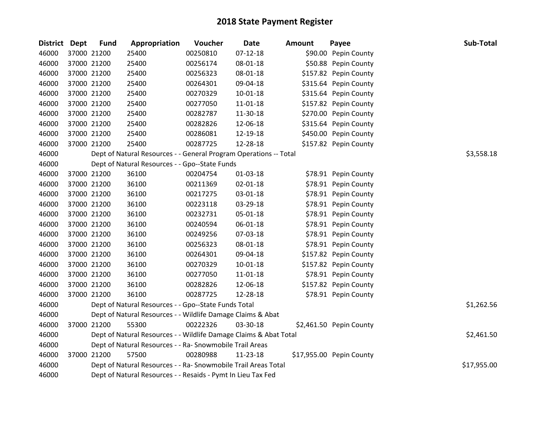| District Dept | <b>Fund</b> | Appropriation                                                     | Voucher  | <b>Date</b>    | <b>Amount</b> | Payee                    | Sub-Total   |
|---------------|-------------|-------------------------------------------------------------------|----------|----------------|---------------|--------------------------|-------------|
| 46000         | 37000 21200 | 25400                                                             | 00250810 | $07 - 12 - 18$ |               | \$90.00 Pepin County     |             |
| 46000         | 37000 21200 | 25400                                                             | 00256174 | 08-01-18       |               | \$50.88 Pepin County     |             |
| 46000         | 37000 21200 | 25400                                                             | 00256323 | 08-01-18       |               | \$157.82 Pepin County    |             |
| 46000         | 37000 21200 | 25400                                                             | 00264301 | 09-04-18       |               | \$315.64 Pepin County    |             |
| 46000         | 37000 21200 | 25400                                                             | 00270329 | 10-01-18       |               | \$315.64 Pepin County    |             |
| 46000         | 37000 21200 | 25400                                                             | 00277050 | 11-01-18       |               | \$157.82 Pepin County    |             |
| 46000         | 37000 21200 | 25400                                                             | 00282787 | 11-30-18       |               | \$270.00 Pepin County    |             |
| 46000         | 37000 21200 | 25400                                                             | 00282826 | 12-06-18       |               | \$315.64 Pepin County    |             |
| 46000         | 37000 21200 | 25400                                                             | 00286081 | 12-19-18       |               | \$450.00 Pepin County    |             |
| 46000         | 37000 21200 | 25400                                                             | 00287725 | 12-28-18       |               | \$157.82 Pepin County    |             |
| 46000         |             | Dept of Natural Resources - - General Program Operations -- Total |          |                |               |                          | \$3,558.18  |
| 46000         |             | Dept of Natural Resources - - Gpo--State Funds                    |          |                |               |                          |             |
| 46000         | 37000 21200 | 36100                                                             | 00204754 | 01-03-18       |               | \$78.91 Pepin County     |             |
| 46000         | 37000 21200 | 36100                                                             | 00211369 | $02 - 01 - 18$ |               | \$78.91 Pepin County     |             |
| 46000         | 37000 21200 | 36100                                                             | 00217275 | 03-01-18       |               | \$78.91 Pepin County     |             |
| 46000         | 37000 21200 | 36100                                                             | 00223118 | 03-29-18       |               | \$78.91 Pepin County     |             |
| 46000         | 37000 21200 | 36100                                                             | 00232731 | 05-01-18       |               | \$78.91 Pepin County     |             |
| 46000         | 37000 21200 | 36100                                                             | 00240594 | 06-01-18       |               | \$78.91 Pepin County     |             |
| 46000         | 37000 21200 | 36100                                                             | 00249256 | 07-03-18       |               | \$78.91 Pepin County     |             |
| 46000         | 37000 21200 | 36100                                                             | 00256323 | 08-01-18       |               | \$78.91 Pepin County     |             |
| 46000         | 37000 21200 | 36100                                                             | 00264301 | 09-04-18       |               | \$157.82 Pepin County    |             |
| 46000         | 37000 21200 | 36100                                                             | 00270329 | $10 - 01 - 18$ |               | \$157.82 Pepin County    |             |
| 46000         | 37000 21200 | 36100                                                             | 00277050 | 11-01-18       |               | \$78.91 Pepin County     |             |
| 46000         | 37000 21200 | 36100                                                             | 00282826 | 12-06-18       |               | \$157.82 Pepin County    |             |
| 46000         | 37000 21200 | 36100                                                             | 00287725 | 12-28-18       |               | \$78.91 Pepin County     |             |
| 46000         |             | Dept of Natural Resources - - Gpo--State Funds Total              |          |                |               |                          | \$1,262.56  |
| 46000         |             | Dept of Natural Resources - - Wildlife Damage Claims & Abat       |          |                |               |                          |             |
| 46000         | 37000 21200 | 55300                                                             | 00222326 | 03-30-18       |               | \$2,461.50 Pepin County  |             |
| 46000         |             | Dept of Natural Resources - - Wildlife Damage Claims & Abat Total |          |                |               |                          | \$2,461.50  |
| 46000         |             | Dept of Natural Resources - - Ra- Snowmobile Trail Areas          |          |                |               |                          |             |
| 46000         | 37000 21200 | 57500                                                             | 00280988 | 11-23-18       |               | \$17,955.00 Pepin County |             |
| 46000         |             | Dept of Natural Resources - - Ra- Snowmobile Trail Areas Total    |          |                |               |                          | \$17,955.00 |
| 46000         |             | Dept of Natural Resources - - Resaids - Pymt In Lieu Tax Fed      |          |                |               |                          |             |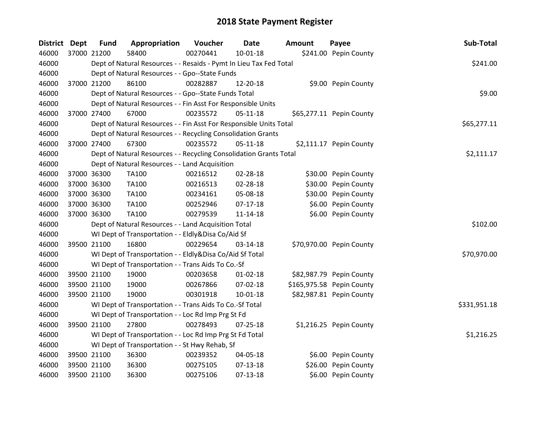| <b>District</b> | <b>Dept</b> | <b>Fund</b> | Appropriation                                                      | Voucher  | <b>Date</b>    | <b>Amount</b> | Payee                     | Sub-Total    |
|-----------------|-------------|-------------|--------------------------------------------------------------------|----------|----------------|---------------|---------------------------|--------------|
| 46000           |             | 37000 21200 | 58400                                                              | 00270441 | $10 - 01 - 18$ |               | \$241.00 Pepin County     |              |
| 46000           |             |             | Dept of Natural Resources - - Resaids - Pymt In Lieu Tax Fed Total |          |                |               |                           | \$241.00     |
| 46000           |             |             | Dept of Natural Resources - - Gpo--State Funds                     |          |                |               |                           |              |
| 46000           |             | 37000 21200 | 86100                                                              | 00282887 | 12-20-18       |               | \$9.00 Pepin County       |              |
| 46000           |             |             | Dept of Natural Resources - - Gpo--State Funds Total               |          |                |               |                           | \$9.00       |
| 46000           |             |             | Dept of Natural Resources - - Fin Asst For Responsible Units       |          |                |               |                           |              |
| 46000           |             | 37000 27400 | 67000                                                              | 00235572 | $05 - 11 - 18$ |               | \$65,277.11 Pepin County  |              |
| 46000           |             |             | Dept of Natural Resources - - Fin Asst For Responsible Units Total |          |                |               |                           | \$65,277.11  |
| 46000           |             |             | Dept of Natural Resources - - Recycling Consolidation Grants       |          |                |               |                           |              |
| 46000           |             | 37000 27400 | 67300                                                              | 00235572 | $05 - 11 - 18$ |               | \$2,111.17 Pepin County   |              |
| 46000           |             |             | Dept of Natural Resources - - Recycling Consolidation Grants Total |          |                |               |                           | \$2,111.17   |
| 46000           |             |             | Dept of Natural Resources - - Land Acquisition                     |          |                |               |                           |              |
| 46000           |             | 37000 36300 | <b>TA100</b>                                                       | 00216512 | 02-28-18       |               | \$30.00 Pepin County      |              |
| 46000           |             | 37000 36300 | TA100                                                              | 00216513 | 02-28-18       |               | \$30.00 Pepin County      |              |
| 46000           |             | 37000 36300 | TA100                                                              | 00234161 | 05-08-18       |               | \$30.00 Pepin County      |              |
| 46000           |             | 37000 36300 | <b>TA100</b>                                                       | 00252946 | $07-17-18$     |               | \$6.00 Pepin County       |              |
| 46000           |             | 37000 36300 | <b>TA100</b>                                                       | 00279539 | $11 - 14 - 18$ |               | \$6.00 Pepin County       |              |
| 46000           |             |             | Dept of Natural Resources - - Land Acquisition Total               |          |                |               |                           | \$102.00     |
| 46000           |             |             | WI Dept of Transportation - - Eldly&Disa Co/Aid Sf                 |          |                |               |                           |              |
| 46000           |             | 39500 21100 | 16800                                                              | 00229654 | 03-14-18       |               | \$70,970.00 Pepin County  |              |
| 46000           |             |             | WI Dept of Transportation - - Eldly&Disa Co/Aid Sf Total           |          |                |               |                           | \$70,970.00  |
| 46000           |             |             | WI Dept of Transportation - - Trans Aids To Co.-Sf                 |          |                |               |                           |              |
| 46000           |             | 39500 21100 | 19000                                                              | 00203658 | $01 - 02 - 18$ |               | \$82,987.79 Pepin County  |              |
| 46000           |             | 39500 21100 | 19000                                                              | 00267866 | 07-02-18       |               | \$165,975.58 Pepin County |              |
| 46000           |             | 39500 21100 | 19000                                                              | 00301918 | 10-01-18       |               | \$82,987.81 Pepin County  |              |
| 46000           |             |             | WI Dept of Transportation - - Trans Aids To Co.-Sf Total           |          |                |               |                           | \$331,951.18 |
| 46000           |             |             | WI Dept of Transportation - - Loc Rd Imp Prg St Fd                 |          |                |               |                           |              |
| 46000           |             | 39500 21100 | 27800                                                              | 00278493 | $07 - 25 - 18$ |               | \$1,216.25 Pepin County   |              |
| 46000           |             |             | WI Dept of Transportation - - Loc Rd Imp Prg St Fd Total           |          |                |               |                           | \$1,216.25   |
| 46000           |             |             | WI Dept of Transportation - - St Hwy Rehab, Sf                     |          |                |               |                           |              |
| 46000           |             | 39500 21100 | 36300                                                              | 00239352 | 04-05-18       |               | \$6.00 Pepin County       |              |
| 46000           |             | 39500 21100 | 36300                                                              | 00275105 | $07 - 13 - 18$ |               | \$26.00 Pepin County      |              |
| 46000           |             | 39500 21100 | 36300                                                              | 00275106 | $07-13-18$     |               | \$6.00 Pepin County       |              |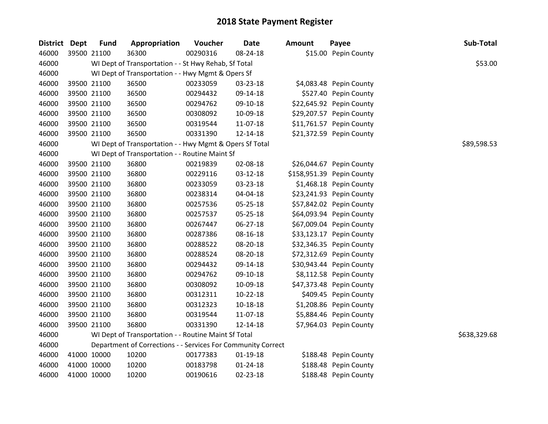| District Dept | <b>Fund</b> | Appropriation                                                | Voucher  | <b>Date</b>    | <b>Amount</b> | Payee                     | Sub-Total    |
|---------------|-------------|--------------------------------------------------------------|----------|----------------|---------------|---------------------------|--------------|
| 46000         | 39500 21100 | 36300                                                        | 00290316 | 08-24-18       |               | \$15.00 Pepin County      |              |
| 46000         |             | WI Dept of Transportation - - St Hwy Rehab, Sf Total         |          |                |               |                           | \$53.00      |
| 46000         |             | WI Dept of Transportation - - Hwy Mgmt & Opers Sf            |          |                |               |                           |              |
| 46000         | 39500 21100 | 36500                                                        | 00233059 | 03-23-18       |               | \$4,083.48 Pepin County   |              |
| 46000         | 39500 21100 | 36500                                                        | 00294432 | 09-14-18       |               | \$527.40 Pepin County     |              |
| 46000         | 39500 21100 | 36500                                                        | 00294762 | 09-10-18       |               | \$22,645.92 Pepin County  |              |
| 46000         | 39500 21100 | 36500                                                        | 00308092 | 10-09-18       |               | \$29,207.57 Pepin County  |              |
| 46000         | 39500 21100 | 36500                                                        | 00319544 | 11-07-18       |               | \$11,761.57 Pepin County  |              |
| 46000         | 39500 21100 | 36500                                                        | 00331390 | 12-14-18       |               | \$21,372.59 Pepin County  |              |
| 46000         |             | WI Dept of Transportation - - Hwy Mgmt & Opers Sf Total      |          |                |               |                           | \$89,598.53  |
| 46000         |             | WI Dept of Transportation - - Routine Maint Sf               |          |                |               |                           |              |
| 46000         | 39500 21100 | 36800                                                        | 00219839 | 02-08-18       |               | \$26,044.67 Pepin County  |              |
| 46000         | 39500 21100 | 36800                                                        | 00229116 | 03-12-18       |               | \$158,951.39 Pepin County |              |
| 46000         | 39500 21100 | 36800                                                        | 00233059 | 03-23-18       |               | \$1,468.18 Pepin County   |              |
| 46000         | 39500 21100 | 36800                                                        | 00238314 | 04-04-18       |               | \$23,241.93 Pepin County  |              |
| 46000         | 39500 21100 | 36800                                                        | 00257536 | 05-25-18       |               | \$57,842.02 Pepin County  |              |
| 46000         | 39500 21100 | 36800                                                        | 00257537 | 05-25-18       |               | \$64,093.94 Pepin County  |              |
| 46000         | 39500 21100 | 36800                                                        | 00267447 | 06-27-18       |               | \$67,009.04 Pepin County  |              |
| 46000         | 39500 21100 | 36800                                                        | 00287386 | 08-16-18       |               | \$33,123.17 Pepin County  |              |
| 46000         | 39500 21100 | 36800                                                        | 00288522 | 08-20-18       |               | \$32,346.35 Pepin County  |              |
| 46000         | 39500 21100 | 36800                                                        | 00288524 | 08-20-18       |               | \$72,312.69 Pepin County  |              |
| 46000         | 39500 21100 | 36800                                                        | 00294432 | 09-14-18       |               | \$30,943.44 Pepin County  |              |
| 46000         | 39500 21100 | 36800                                                        | 00294762 | 09-10-18       |               | \$8,112.58 Pepin County   |              |
| 46000         | 39500 21100 | 36800                                                        | 00308092 | 10-09-18       |               | \$47,373.48 Pepin County  |              |
| 46000         | 39500 21100 | 36800                                                        | 00312311 | $10-22-18$     |               | \$409.45 Pepin County     |              |
| 46000         | 39500 21100 | 36800                                                        | 00312323 | 10-18-18       |               | \$1,208.86 Pepin County   |              |
| 46000         | 39500 21100 | 36800                                                        | 00319544 | 11-07-18       |               | \$5,884.46 Pepin County   |              |
| 46000         | 39500 21100 | 36800                                                        | 00331390 | 12-14-18       |               | \$7,964.03 Pepin County   |              |
| 46000         |             | WI Dept of Transportation - - Routine Maint Sf Total         |          |                |               |                           | \$638,329.68 |
| 46000         |             | Department of Corrections - - Services For Community Correct |          |                |               |                           |              |
| 46000         | 41000 10000 | 10200                                                        | 00177383 | $01-19-18$     |               | \$188.48 Pepin County     |              |
| 46000         | 41000 10000 | 10200                                                        | 00183798 | $01 - 24 - 18$ |               | \$188.48 Pepin County     |              |
| 46000         | 41000 10000 | 10200                                                        | 00190616 | 02-23-18       |               | \$188.48 Pepin County     |              |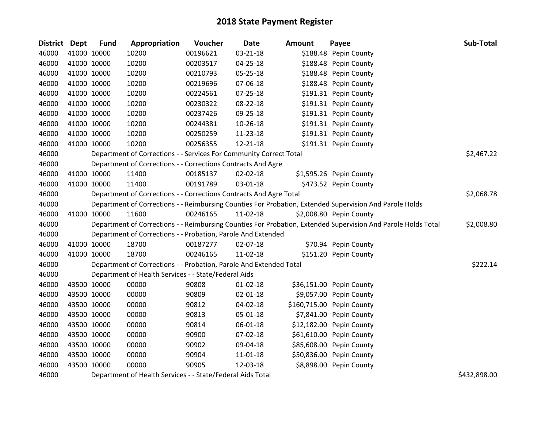| District Dept |             | <b>Fund</b> | Appropriation                                                      | Voucher  | <b>Date</b>    | Amount | Payee                                                                                                         | Sub-Total    |
|---------------|-------------|-------------|--------------------------------------------------------------------|----------|----------------|--------|---------------------------------------------------------------------------------------------------------------|--------------|
| 46000         | 41000 10000 |             | 10200                                                              | 00196621 | 03-21-18       |        | \$188.48 Pepin County                                                                                         |              |
| 46000         |             | 41000 10000 | 10200                                                              | 00203517 | 04-25-18       |        | \$188.48 Pepin County                                                                                         |              |
| 46000         | 41000 10000 |             | 10200                                                              | 00210793 | 05-25-18       |        | \$188.48 Pepin County                                                                                         |              |
| 46000         | 41000 10000 |             | 10200                                                              | 00219696 | 07-06-18       |        | \$188.48 Pepin County                                                                                         |              |
| 46000         | 41000 10000 |             | 10200                                                              | 00224561 | 07-25-18       |        | \$191.31 Pepin County                                                                                         |              |
| 46000         | 41000 10000 |             | 10200                                                              | 00230322 | 08-22-18       |        | \$191.31 Pepin County                                                                                         |              |
| 46000         | 41000 10000 |             | 10200                                                              | 00237426 | 09-25-18       |        | \$191.31 Pepin County                                                                                         |              |
| 46000         |             | 41000 10000 | 10200                                                              | 00244381 | 10-26-18       |        | \$191.31 Pepin County                                                                                         |              |
| 46000         |             | 41000 10000 | 10200                                                              | 00250259 | 11-23-18       |        | \$191.31 Pepin County                                                                                         |              |
| 46000         | 41000 10000 |             | 10200                                                              | 00256355 | $12 - 21 - 18$ |        | \$191.31 Pepin County                                                                                         |              |
| 46000         |             |             | Department of Corrections - - Services For Community Correct Total |          |                |        |                                                                                                               | \$2,467.22   |
| 46000         |             |             | Department of Corrections - - Corrections Contracts And Agre       |          |                |        |                                                                                                               |              |
| 46000         |             | 41000 10000 | 11400                                                              | 00185137 | 02-02-18       |        | \$1,595.26 Pepin County                                                                                       |              |
| 46000         |             | 41000 10000 | 11400                                                              | 00191789 | 03-01-18       |        | \$473.52 Pepin County                                                                                         |              |
| 46000         |             |             | Department of Corrections - - Corrections Contracts And Agre Total |          |                |        |                                                                                                               | \$2,068.78   |
| 46000         |             |             |                                                                    |          |                |        | Department of Corrections - - Reimbursing Counties For Probation, Extended Supervision And Parole Holds       |              |
| 46000         | 41000 10000 |             | 11600                                                              | 00246165 | 11-02-18       |        | \$2,008.80 Pepin County                                                                                       |              |
| 46000         |             |             |                                                                    |          |                |        | Department of Corrections - - Reimbursing Counties For Probation, Extended Supervision And Parole Holds Total | \$2,008.80   |
| 46000         |             |             | Department of Corrections - - Probation, Parole And Extended       |          |                |        |                                                                                                               |              |
| 46000         |             | 41000 10000 | 18700                                                              | 00187277 | 02-07-18       |        | \$70.94 Pepin County                                                                                          |              |
| 46000         | 41000 10000 |             | 18700                                                              | 00246165 | 11-02-18       |        | \$151.20 Pepin County                                                                                         |              |
| 46000         |             |             | Department of Corrections - - Probation, Parole And Extended Total |          |                |        |                                                                                                               | \$222.14     |
| 46000         |             |             | Department of Health Services - - State/Federal Aids               |          |                |        |                                                                                                               |              |
| 46000         |             | 43500 10000 | 00000                                                              | 90808    | $01 - 02 - 18$ |        | \$36,151.00 Pepin County                                                                                      |              |
| 46000         |             | 43500 10000 | 00000                                                              | 90809    | 02-01-18       |        | \$9,057.00 Pepin County                                                                                       |              |
| 46000         | 43500 10000 |             | 00000                                                              | 90812    | 04-02-18       |        | \$160,715.00 Pepin County                                                                                     |              |
| 46000         |             | 43500 10000 | 00000                                                              | 90813    | 05-01-18       |        | \$7,841.00 Pepin County                                                                                       |              |
| 46000         |             | 43500 10000 | 00000                                                              | 90814    | 06-01-18       |        | \$12,182.00 Pepin County                                                                                      |              |
| 46000         |             | 43500 10000 | 00000                                                              | 90900    | 07-02-18       |        | \$61,610.00 Pepin County                                                                                      |              |
| 46000         | 43500 10000 |             | 00000                                                              | 90902    | 09-04-18       |        | \$85,608.00 Pepin County                                                                                      |              |
| 46000         | 43500 10000 |             | 00000                                                              | 90904    | 11-01-18       |        | \$50,836.00 Pepin County                                                                                      |              |
| 46000         | 43500 10000 |             | 00000                                                              | 90905    | 12-03-18       |        | \$8,898.00 Pepin County                                                                                       |              |
| 46000         |             |             | Department of Health Services - - State/Federal Aids Total         |          |                |        |                                                                                                               | \$432,898.00 |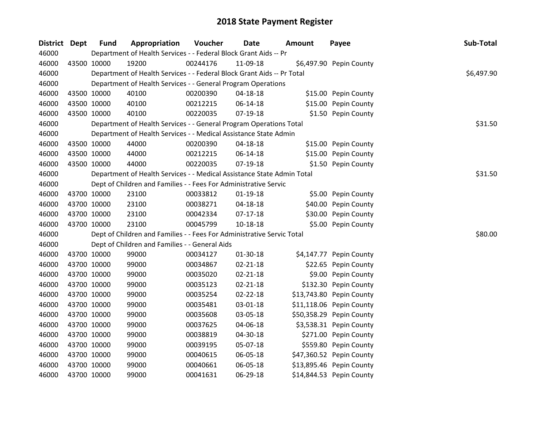| District Dept | <b>Fund</b> | Appropriation                                                          | Voucher  | <b>Date</b>    | <b>Amount</b> | Payee                    | Sub-Total  |
|---------------|-------------|------------------------------------------------------------------------|----------|----------------|---------------|--------------------------|------------|
| 46000         |             | Department of Health Services - - Federal Block Grant Aids -- Pr       |          |                |               |                          |            |
| 46000         | 43500 10000 | 19200                                                                  | 00244176 | 11-09-18       |               | \$6,497.90 Pepin County  |            |
| 46000         |             | Department of Health Services - - Federal Block Grant Aids -- Pr Total |          |                |               |                          | \$6,497.90 |
| 46000         |             | Department of Health Services - - General Program Operations           |          |                |               |                          |            |
| 46000         | 43500 10000 | 40100                                                                  | 00200390 | 04-18-18       |               | \$15.00 Pepin County     |            |
| 46000         | 43500 10000 | 40100                                                                  | 00212215 | 06-14-18       |               | \$15.00 Pepin County     |            |
| 46000         | 43500 10000 | 40100                                                                  | 00220035 | $07-19-18$     |               | \$1.50 Pepin County      |            |
| 46000         |             | Department of Health Services - - General Program Operations Total     |          |                |               |                          | \$31.50    |
| 46000         |             | Department of Health Services - - Medical Assistance State Admin       |          |                |               |                          |            |
| 46000         | 43500 10000 | 44000                                                                  | 00200390 | 04-18-18       |               | \$15.00 Pepin County     |            |
| 46000         | 43500 10000 | 44000                                                                  | 00212215 | 06-14-18       |               | \$15.00 Pepin County     |            |
| 46000         | 43500 10000 | 44000                                                                  | 00220035 | 07-19-18       |               | \$1.50 Pepin County      |            |
| 46000         |             | Department of Health Services - - Medical Assistance State Admin Total |          |                |               |                          | \$31.50    |
| 46000         |             | Dept of Children and Families - - Fees For Administrative Servic       |          |                |               |                          |            |
| 46000         | 43700 10000 | 23100                                                                  | 00033812 | 01-19-18       |               | \$5.00 Pepin County      |            |
| 46000         | 43700 10000 | 23100                                                                  | 00038271 | 04-18-18       |               | \$40.00 Pepin County     |            |
| 46000         | 43700 10000 | 23100                                                                  | 00042334 | $07-17-18$     |               | \$30.00 Pepin County     |            |
| 46000         | 43700 10000 | 23100                                                                  | 00045799 | 10-18-18       |               | \$5.00 Pepin County      |            |
| 46000         |             | Dept of Children and Families - - Fees For Administrative Servic Total |          |                |               |                          | \$80.00    |
| 46000         |             | Dept of Children and Families - - General Aids                         |          |                |               |                          |            |
| 46000         | 43700 10000 | 99000                                                                  | 00034127 | 01-30-18       |               | \$4,147.77 Pepin County  |            |
| 46000         | 43700 10000 | 99000                                                                  | 00034867 | $02 - 21 - 18$ |               | \$22.65 Pepin County     |            |
| 46000         | 43700 10000 | 99000                                                                  | 00035020 | $02 - 21 - 18$ |               | \$9.00 Pepin County      |            |
| 46000         | 43700 10000 | 99000                                                                  | 00035123 | $02 - 21 - 18$ |               | \$132.30 Pepin County    |            |
| 46000         | 43700 10000 | 99000                                                                  | 00035254 | 02-22-18       |               | \$13,743.80 Pepin County |            |
| 46000         | 43700 10000 | 99000                                                                  | 00035481 | 03-01-18       |               | \$11,118.06 Pepin County |            |
| 46000         | 43700 10000 | 99000                                                                  | 00035608 | 03-05-18       |               | \$50,358.29 Pepin County |            |
| 46000         | 43700 10000 | 99000                                                                  | 00037625 | 04-06-18       |               | \$3,538.31 Pepin County  |            |
| 46000         | 43700 10000 | 99000                                                                  | 00038819 | 04-30-18       |               | \$271.00 Pepin County    |            |
| 46000         | 43700 10000 | 99000                                                                  | 00039195 | 05-07-18       |               | \$559.80 Pepin County    |            |
| 46000         | 43700 10000 | 99000                                                                  | 00040615 | 06-05-18       |               | \$47,360.52 Pepin County |            |
| 46000         | 43700 10000 | 99000                                                                  | 00040661 | 06-05-18       |               | \$13,895.46 Pepin County |            |
| 46000         | 43700 10000 | 99000                                                                  | 00041631 | 06-29-18       |               | \$14,844.53 Pepin County |            |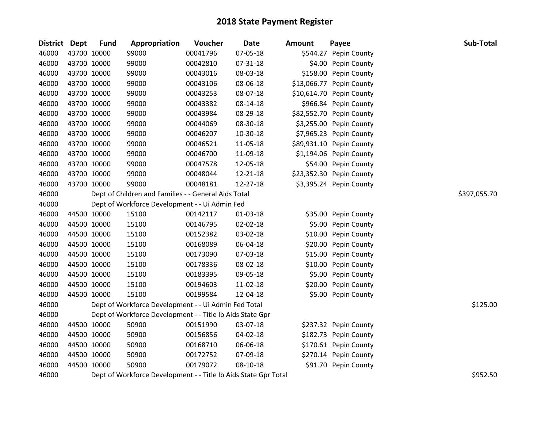| <b>District</b> | <b>Dept</b> | <b>Fund</b> | Appropriation                                                   | Voucher  | <b>Date</b> | Amount | Payee                    | Sub-Total    |
|-----------------|-------------|-------------|-----------------------------------------------------------------|----------|-------------|--------|--------------------------|--------------|
| 46000           |             | 43700 10000 | 99000                                                           | 00041796 | 07-05-18    |        | \$544.27 Pepin County    |              |
| 46000           |             | 43700 10000 | 99000                                                           | 00042810 | 07-31-18    |        | \$4.00 Pepin County      |              |
| 46000           |             | 43700 10000 | 99000                                                           | 00043016 | 08-03-18    |        | \$158.00 Pepin County    |              |
| 46000           |             | 43700 10000 | 99000                                                           | 00043106 | 08-06-18    |        | \$13,066.77 Pepin County |              |
| 46000           |             | 43700 10000 | 99000                                                           | 00043253 | 08-07-18    |        | \$10,614.70 Pepin County |              |
| 46000           |             | 43700 10000 | 99000                                                           | 00043382 | 08-14-18    |        | \$966.84 Pepin County    |              |
| 46000           |             | 43700 10000 | 99000                                                           | 00043984 | 08-29-18    |        | \$82,552.70 Pepin County |              |
| 46000           |             | 43700 10000 | 99000                                                           | 00044069 | 08-30-18    |        | \$3,255.00 Pepin County  |              |
| 46000           |             | 43700 10000 | 99000                                                           | 00046207 | 10-30-18    |        | \$7,965.23 Pepin County  |              |
| 46000           |             | 43700 10000 | 99000                                                           | 00046521 | 11-05-18    |        | \$89,931.10 Pepin County |              |
| 46000           |             | 43700 10000 | 99000                                                           | 00046700 | 11-09-18    |        | \$1,194.06 Pepin County  |              |
| 46000           |             | 43700 10000 | 99000                                                           | 00047578 | 12-05-18    |        | \$54.00 Pepin County     |              |
| 46000           |             | 43700 10000 | 99000                                                           | 00048044 | 12-21-18    |        | \$23,352.30 Pepin County |              |
| 46000           |             | 43700 10000 | 99000                                                           | 00048181 | 12-27-18    |        | \$3,395.24 Pepin County  |              |
| 46000           |             |             | Dept of Children and Families - - General Aids Total            |          |             |        |                          | \$397,055.70 |
| 46000           |             |             | Dept of Workforce Development - - Ui Admin Fed                  |          |             |        |                          |              |
| 46000           |             | 44500 10000 | 15100                                                           | 00142117 | 01-03-18    |        | \$35.00 Pepin County     |              |
| 46000           |             | 44500 10000 | 15100                                                           | 00146795 | 02-02-18    |        | \$5.00 Pepin County      |              |
| 46000           |             | 44500 10000 | 15100                                                           | 00152382 | 03-02-18    |        | \$10.00 Pepin County     |              |
| 46000           |             | 44500 10000 | 15100                                                           | 00168089 | 06-04-18    |        | \$20.00 Pepin County     |              |
| 46000           |             | 44500 10000 | 15100                                                           | 00173090 | 07-03-18    |        | \$15.00 Pepin County     |              |
| 46000           |             | 44500 10000 | 15100                                                           | 00178336 | 08-02-18    |        | \$10.00 Pepin County     |              |
| 46000           |             | 44500 10000 | 15100                                                           | 00183395 | 09-05-18    |        | \$5.00 Pepin County      |              |
| 46000           |             | 44500 10000 | 15100                                                           | 00194603 | 11-02-18    |        | \$20.00 Pepin County     |              |
| 46000           |             | 44500 10000 | 15100                                                           | 00199584 | 12-04-18    |        | \$5.00 Pepin County      |              |
| 46000           |             |             | Dept of Workforce Development - - Ui Admin Fed Total            |          |             |        |                          | \$125.00     |
| 46000           |             |             | Dept of Workforce Development - - Title Ib Aids State Gpr       |          |             |        |                          |              |
| 46000           |             | 44500 10000 | 50900                                                           | 00151990 | 03-07-18    |        | \$237.32 Pepin County    |              |
| 46000           |             | 44500 10000 | 50900                                                           | 00156856 | 04-02-18    |        | \$182.73 Pepin County    |              |
| 46000           |             | 44500 10000 | 50900                                                           | 00168710 | 06-06-18    |        | \$170.61 Pepin County    |              |
| 46000           |             | 44500 10000 | 50900                                                           | 00172752 | 07-09-18    |        | \$270.14 Pepin County    |              |
| 46000           |             | 44500 10000 | 50900                                                           | 00179072 | 08-10-18    |        | \$91.70 Pepin County     |              |
| 46000           |             |             | Dept of Workforce Development - - Title Ib Aids State Gpr Total |          |             |        |                          | \$952.50     |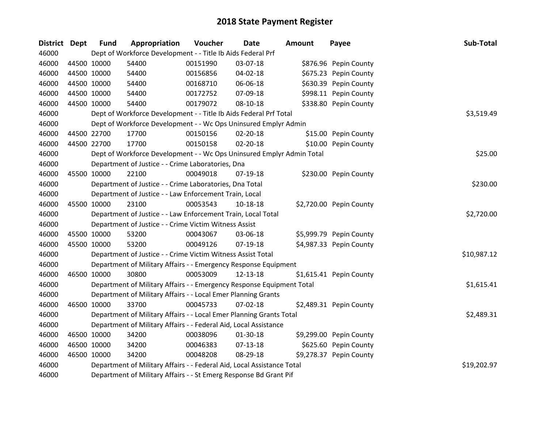| <b>District Dept</b> | <b>Fund</b> | Appropriation                                                          | Voucher  | Date           | Amount | Payee                   | Sub-Total   |
|----------------------|-------------|------------------------------------------------------------------------|----------|----------------|--------|-------------------------|-------------|
| 46000                |             | Dept of Workforce Development - - Title Ib Aids Federal Prf            |          |                |        |                         |             |
| 46000                | 44500 10000 | 54400                                                                  | 00151990 | 03-07-18       |        | \$876.96 Pepin County   |             |
| 46000                | 44500 10000 | 54400                                                                  | 00156856 | 04-02-18       |        | \$675.23 Pepin County   |             |
| 46000                | 44500 10000 | 54400                                                                  | 00168710 | 06-06-18       |        | \$630.39 Pepin County   |             |
| 46000                | 44500 10000 | 54400                                                                  | 00172752 | 07-09-18       |        | \$998.11 Pepin County   |             |
| 46000                | 44500 10000 | 54400                                                                  | 00179072 | $08 - 10 - 18$ |        | \$338.80 Pepin County   |             |
| 46000                |             | Dept of Workforce Development - - Title Ib Aids Federal Prf Total      |          |                |        |                         | \$3,519.49  |
| 46000                |             | Dept of Workforce Development - - Wc Ops Uninsured Emplyr Admin        |          |                |        |                         |             |
| 46000                | 44500 22700 | 17700                                                                  | 00150156 | $02 - 20 - 18$ |        | \$15.00 Pepin County    |             |
| 46000                | 44500 22700 | 17700                                                                  | 00150158 | $02 - 20 - 18$ |        | \$10.00 Pepin County    |             |
| 46000                |             | Dept of Workforce Development - - Wc Ops Uninsured Emplyr Admin Total  |          |                |        |                         | \$25.00     |
| 46000                |             | Department of Justice - - Crime Laboratories, Dna                      |          |                |        |                         |             |
| 46000                | 45500 10000 | 22100                                                                  | 00049018 | 07-19-18       |        | \$230.00 Pepin County   |             |
| 46000                |             | Department of Justice - - Crime Laboratories, Dna Total                |          |                |        |                         | \$230.00    |
| 46000                |             | Department of Justice - - Law Enforcement Train, Local                 |          |                |        |                         |             |
| 46000                | 45500 10000 | 23100                                                                  | 00053543 | 10-18-18       |        | \$2,720.00 Pepin County |             |
| 46000                |             | Department of Justice - - Law Enforcement Train, Local Total           |          |                |        |                         | \$2,720.00  |
| 46000                |             | Department of Justice - - Crime Victim Witness Assist                  |          |                |        |                         |             |
| 46000                | 45500 10000 | 53200                                                                  | 00043067 | 03-06-18       |        | \$5,999.79 Pepin County |             |
| 46000                | 45500 10000 | 53200                                                                  | 00049126 | $07-19-18$     |        | \$4,987.33 Pepin County |             |
| 46000                |             | Department of Justice - - Crime Victim Witness Assist Total            |          |                |        |                         | \$10,987.12 |
| 46000                |             | Department of Military Affairs - - Emergency Response Equipment        |          |                |        |                         |             |
| 46000                | 46500 10000 | 30800                                                                  | 00053009 | 12-13-18       |        | \$1,615.41 Pepin County |             |
| 46000                |             | Department of Military Affairs - - Emergency Response Equipment Total  |          |                |        |                         | \$1,615.41  |
| 46000                |             | Department of Military Affairs - - Local Emer Planning Grants          |          |                |        |                         |             |
| 46000                | 46500 10000 | 33700                                                                  | 00045733 | 07-02-18       |        | \$2,489.31 Pepin County |             |
| 46000                |             | Department of Military Affairs - - Local Emer Planning Grants Total    |          |                |        |                         | \$2,489.31  |
| 46000                |             | Department of Military Affairs - - Federal Aid, Local Assistance       |          |                |        |                         |             |
| 46000                | 46500 10000 | 34200                                                                  | 00038096 | 01-30-18       |        | \$9,299.00 Pepin County |             |
| 46000                | 46500 10000 | 34200                                                                  | 00046383 | $07 - 13 - 18$ |        | \$625.60 Pepin County   |             |
| 46000                | 46500 10000 | 34200                                                                  | 00048208 | 08-29-18       |        | \$9,278.37 Pepin County |             |
| 46000                |             | Department of Military Affairs - - Federal Aid, Local Assistance Total |          |                |        |                         | \$19,202.97 |
| 46000                |             | Department of Military Affairs - - St Emerg Response Bd Grant Pif      |          |                |        |                         |             |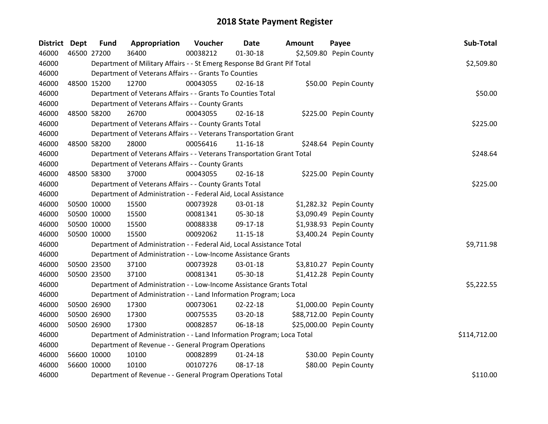| <b>District</b> | <b>Dept</b> | <b>Fund</b> | Appropriation                                                           | Voucher  | Date           | <b>Amount</b> | Payee                    | Sub-Total    |
|-----------------|-------------|-------------|-------------------------------------------------------------------------|----------|----------------|---------------|--------------------------|--------------|
| 46000           |             | 46500 27200 | 36400                                                                   | 00038212 | 01-30-18       |               | \$2,509.80 Pepin County  |              |
| 46000           |             |             | Department of Military Affairs - - St Emerg Response Bd Grant Pif Total |          |                |               |                          | \$2,509.80   |
| 46000           |             |             | Department of Veterans Affairs - - Grants To Counties                   |          |                |               |                          |              |
| 46000           |             | 48500 15200 | 12700                                                                   | 00043055 | $02 - 16 - 18$ |               | \$50.00 Pepin County     |              |
| 46000           |             |             | Department of Veterans Affairs - - Grants To Counties Total             |          |                |               |                          | \$50.00      |
| 46000           |             |             | Department of Veterans Affairs - - County Grants                        |          |                |               |                          |              |
| 46000           |             | 48500 58200 | 26700                                                                   | 00043055 | $02 - 16 - 18$ |               | \$225.00 Pepin County    |              |
| 46000           |             |             | Department of Veterans Affairs - - County Grants Total                  |          |                |               |                          | \$225.00     |
| 46000           |             |             | Department of Veterans Affairs - - Veterans Transportation Grant        |          |                |               |                          |              |
| 46000           |             | 48500 58200 | 28000                                                                   | 00056416 | $11 - 16 - 18$ |               | \$248.64 Pepin County    |              |
| 46000           |             |             | Department of Veterans Affairs - - Veterans Transportation Grant Total  |          |                |               |                          | \$248.64     |
| 46000           |             |             | Department of Veterans Affairs - - County Grants                        |          |                |               |                          |              |
| 46000           |             | 48500 58300 | 37000                                                                   | 00043055 | $02 - 16 - 18$ |               | \$225.00 Pepin County    |              |
| 46000           |             |             | Department of Veterans Affairs - - County Grants Total                  |          |                |               |                          | \$225.00     |
| 46000           |             |             | Department of Administration - - Federal Aid, Local Assistance          |          |                |               |                          |              |
| 46000           |             | 50500 10000 | 15500                                                                   | 00073928 | 03-01-18       |               | \$1,282.32 Pepin County  |              |
| 46000           |             | 50500 10000 | 15500                                                                   | 00081341 | 05-30-18       |               | \$3,090.49 Pepin County  |              |
| 46000           |             | 50500 10000 | 15500                                                                   | 00088338 | 09-17-18       |               | \$1,938.93 Pepin County  |              |
| 46000           |             | 50500 10000 | 15500                                                                   | 00092062 | $11 - 15 - 18$ |               | \$3,400.24 Pepin County  |              |
| 46000           |             |             | Department of Administration - - Federal Aid, Local Assistance Total    |          |                |               |                          | \$9,711.98   |
| 46000           |             |             | Department of Administration - - Low-Income Assistance Grants           |          |                |               |                          |              |
| 46000           |             | 50500 23500 | 37100                                                                   | 00073928 | 03-01-18       |               | \$3,810.27 Pepin County  |              |
| 46000           |             | 50500 23500 | 37100                                                                   | 00081341 | 05-30-18       |               | \$1,412.28 Pepin County  |              |
| 46000           |             |             | Department of Administration - - Low-Income Assistance Grants Total     |          |                |               |                          | \$5,222.55   |
| 46000           |             |             | Department of Administration - - Land Information Program; Loca         |          |                |               |                          |              |
| 46000           |             | 50500 26900 | 17300                                                                   | 00073061 | 02-22-18       |               | \$1,000.00 Pepin County  |              |
| 46000           |             | 50500 26900 | 17300                                                                   | 00075535 | 03-20-18       |               | \$88,712.00 Pepin County |              |
| 46000           |             | 50500 26900 | 17300                                                                   | 00082857 | 06-18-18       |               | \$25,000.00 Pepin County |              |
| 46000           |             |             | Department of Administration - - Land Information Program; Loca Total   |          |                |               |                          | \$114,712.00 |
| 46000           |             |             | Department of Revenue - - General Program Operations                    |          |                |               |                          |              |
| 46000           |             | 56600 10000 | 10100                                                                   | 00082899 | 01-24-18       |               | \$30.00 Pepin County     |              |
| 46000           |             | 56600 10000 | 10100                                                                   | 00107276 | $08-17-18$     |               | \$80.00 Pepin County     |              |
| 46000           |             |             | Department of Revenue - - General Program Operations Total              |          |                |               |                          | \$110.00     |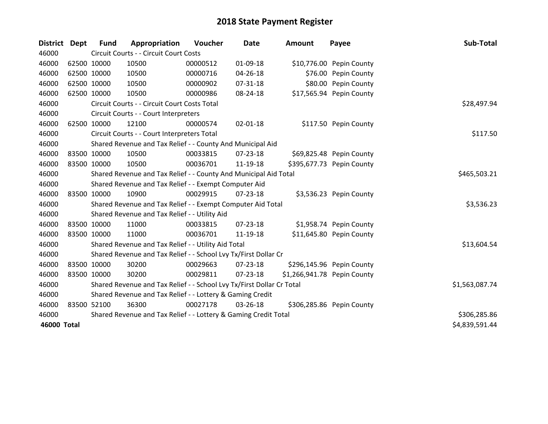| <b>District</b>    | <b>Dept</b> | Fund        | Appropriation                                                         | Voucher      | Date           | <b>Amount</b>               | Payee                     | Sub-Total      |
|--------------------|-------------|-------------|-----------------------------------------------------------------------|--------------|----------------|-----------------------------|---------------------------|----------------|
| 46000              |             |             | Circuit Courts - - Circuit Court Costs                                |              |                |                             |                           |                |
| 46000              |             | 62500 10000 | 10500                                                                 | 00000512     | 01-09-18       |                             | \$10,776.00 Pepin County  |                |
| 46000              |             | 62500 10000 | 10500                                                                 | 00000716     | 04-26-18       |                             | \$76.00 Pepin County      |                |
| 46000              |             | 62500 10000 | 10500                                                                 | 00000902     | 07-31-18       |                             | \$80.00 Pepin County      |                |
| 46000              |             | 62500 10000 | 10500                                                                 | 00000986     | 08-24-18       |                             | \$17,565.94 Pepin County  |                |
| 46000              |             |             | Circuit Courts - - Circuit Court Costs Total                          | \$28,497.94  |                |                             |                           |                |
| 46000              |             |             | Circuit Courts - - Court Interpreters                                 |              |                |                             |                           |                |
| 46000              |             | 62500 10000 | 12100                                                                 | 00000574     | $02 - 01 - 18$ |                             | \$117.50 Pepin County     |                |
| 46000              |             |             | Circuit Courts - - Court Interpreters Total                           |              | \$117.50       |                             |                           |                |
| 46000              |             |             | Shared Revenue and Tax Relief - - County And Municipal Aid            |              |                |                             |                           |                |
| 46000              |             | 83500 10000 | 10500                                                                 | 00033815     | 07-23-18       |                             | \$69,825.48 Pepin County  |                |
| 46000              |             | 83500 10000 | 10500                                                                 | 00036701     | 11-19-18       |                             | \$395,677.73 Pepin County |                |
| 46000              |             |             | Shared Revenue and Tax Relief - - County And Municipal Aid Total      | \$465,503.21 |                |                             |                           |                |
| 46000              |             |             | Shared Revenue and Tax Relief - - Exempt Computer Aid                 |              |                |                             |                           |                |
| 46000              |             | 83500 10000 | 10900                                                                 | 00029915     | $07 - 23 - 18$ |                             | \$3,536.23 Pepin County   |                |
| 46000              |             |             | Shared Revenue and Tax Relief - - Exempt Computer Aid Total           |              |                |                             |                           | \$3,536.23     |
| 46000              |             |             | Shared Revenue and Tax Relief - - Utility Aid                         |              |                |                             |                           |                |
| 46000              |             | 83500 10000 | 11000                                                                 | 00033815     | 07-23-18       |                             | \$1,958.74 Pepin County   |                |
| 46000              |             | 83500 10000 | 11000                                                                 | 00036701     | 11-19-18       |                             | \$11,645.80 Pepin County  |                |
| 46000              |             |             | Shared Revenue and Tax Relief - - Utility Aid Total                   |              |                |                             |                           | \$13,604.54    |
| 46000              |             |             | Shared Revenue and Tax Relief - - School Lvy Tx/First Dollar Cr       |              |                |                             |                           |                |
| 46000              |             | 83500 10000 | 30200                                                                 | 00029663     | 07-23-18       |                             | \$296,145.96 Pepin County |                |
| 46000              |             | 83500 10000 | 30200                                                                 | 00029811     | $07 - 23 - 18$ | \$1,266,941.78 Pepin County |                           |                |
| 46000              |             |             | Shared Revenue and Tax Relief - - School Lvy Tx/First Dollar Cr Total |              |                |                             |                           | \$1,563,087.74 |
| 46000              |             |             | Shared Revenue and Tax Relief - - Lottery & Gaming Credit             |              |                |                             |                           |                |
| 46000              |             | 83500 52100 | 36300                                                                 | 00027178     | 03-26-18       |                             | \$306,285.86 Pepin County |                |
| 46000              |             |             | Shared Revenue and Tax Relief - - Lottery & Gaming Credit Total       |              |                |                             |                           | \$306,285.86   |
| <b>46000 Total</b> |             |             |                                                                       |              |                |                             |                           | \$4,839,591.44 |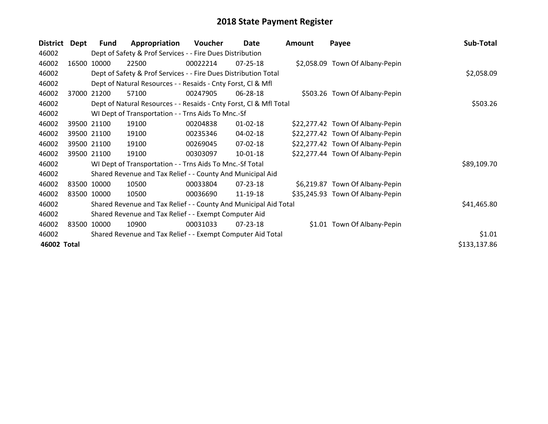| <b>District</b> | Dept  | <b>Fund</b>                                                 | Appropriation                                                      | Voucher  | Date           | <b>Amount</b> | Payee                            | Sub-Total    |
|-----------------|-------|-------------------------------------------------------------|--------------------------------------------------------------------|----------|----------------|---------------|----------------------------------|--------------|
| 46002           |       |                                                             | Dept of Safety & Prof Services - - Fire Dues Distribution          |          |                |               |                                  |              |
| 46002           | 16500 | 10000                                                       | 22500                                                              | 00022214 | 07-25-18       |               | \$2,058.09 Town Of Albany-Pepin  |              |
| 46002           |       |                                                             | Dept of Safety & Prof Services - - Fire Dues Distribution Total    |          |                |               |                                  | \$2,058.09   |
| 46002           |       |                                                             | Dept of Natural Resources - - Resaids - Cnty Forst, CI & Mfl       |          |                |               |                                  |              |
| 46002           | 37000 | 21200                                                       | 57100                                                              | 00247905 | 06-28-18       |               | \$503.26 Town Of Albany-Pepin    |              |
| 46002           |       |                                                             | Dept of Natural Resources - - Resaids - Cnty Forst, Cl & Mfl Total |          | \$503.26       |               |                                  |              |
| 46002           |       |                                                             | WI Dept of Transportation - - Trns Aids To Mnc.-Sf                 |          |                |               |                                  |              |
| 46002           |       | 39500 21100                                                 | 19100                                                              | 00204838 | $01 - 02 - 18$ |               | \$22,277.42 Town Of Albany-Pepin |              |
| 46002           |       | 39500 21100                                                 | 19100                                                              | 00235346 | 04-02-18       |               | \$22,277.42 Town Of Albany-Pepin |              |
| 46002           |       | 39500 21100                                                 | 19100                                                              | 00269045 | 07-02-18       |               | \$22,277.42 Town Of Albany-Pepin |              |
| 46002           |       | 39500 21100                                                 | 19100                                                              | 00303097 | 10-01-18       |               | \$22,277.44 Town Of Albany-Pepin |              |
| 46002           |       |                                                             | WI Dept of Transportation - - Trns Aids To Mnc.-Sf Total           |          |                |               |                                  | \$89,109.70  |
| 46002           |       |                                                             | Shared Revenue and Tax Relief - - County And Municipal Aid         |          |                |               |                                  |              |
| 46002           |       | 83500 10000                                                 | 10500                                                              | 00033804 | 07-23-18       |               | \$6,219.87 Town Of Albany-Pepin  |              |
| 46002           |       | 83500 10000                                                 | 10500                                                              | 00036690 | 11-19-18       |               | \$35,245.93 Town Of Albany-Pepin |              |
| 46002           |       |                                                             | Shared Revenue and Tax Relief - - County And Municipal Aid Total   |          |                |               |                                  | \$41,465.80  |
| 46002           |       |                                                             | Shared Revenue and Tax Relief - - Exempt Computer Aid              |          |                |               |                                  |              |
| 46002           |       | 83500 10000                                                 | 10900                                                              | 00031033 | 07-23-18       |               | \$1.01 Town Of Albany-Pepin      |              |
| 46002           |       | Shared Revenue and Tax Relief - - Exempt Computer Aid Total | \$1.01                                                             |          |                |               |                                  |              |
| 46002 Total     |       |                                                             |                                                                    |          |                |               |                                  | \$133,137.86 |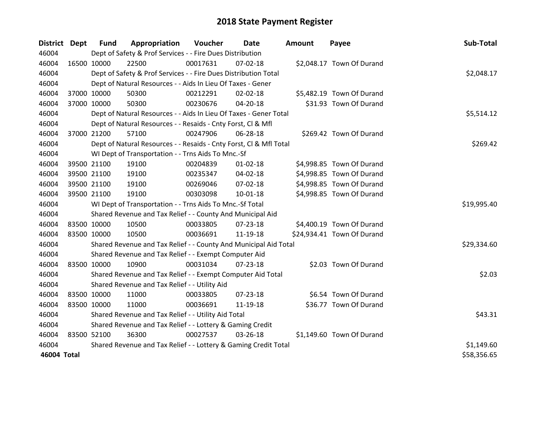| <b>District Dept</b> | <b>Fund</b> | Appropriation                                                      | Voucher    | Date           | <b>Amount</b> | Payee                      | Sub-Total   |
|----------------------|-------------|--------------------------------------------------------------------|------------|----------------|---------------|----------------------------|-------------|
| 46004                |             | Dept of Safety & Prof Services - - Fire Dues Distribution          |            |                |               |                            |             |
| 46004                | 16500 10000 | 22500                                                              | 00017631   | 07-02-18       |               | \$2,048.17 Town Of Durand  |             |
| 46004                |             | Dept of Safety & Prof Services - - Fire Dues Distribution Total    |            |                |               |                            | \$2,048.17  |
| 46004                |             | Dept of Natural Resources - - Aids In Lieu Of Taxes - Gener        |            |                |               |                            |             |
| 46004                | 37000 10000 | 50300                                                              | 00212291   | 02-02-18       |               | \$5,482.19 Town Of Durand  |             |
| 46004                | 37000 10000 | 50300                                                              | 00230676   | 04-20-18       |               | \$31.93 Town Of Durand     |             |
| 46004                |             | Dept of Natural Resources - - Aids In Lieu Of Taxes - Gener Total  |            |                |               |                            | \$5,514.12  |
| 46004                |             | Dept of Natural Resources - - Resaids - Cnty Forst, CI & Mfl       |            |                |               |                            |             |
| 46004                | 37000 21200 | 57100                                                              | 00247906   | 06-28-18       |               | \$269.42 Town Of Durand    |             |
| 46004                |             | Dept of Natural Resources - - Resaids - Cnty Forst, Cl & Mfl Total |            | \$269.42       |               |                            |             |
| 46004                |             | WI Dept of Transportation - - Trns Aids To Mnc.-Sf                 |            |                |               |                            |             |
| 46004                | 39500 21100 | 19100                                                              | 00204839   | $01 - 02 - 18$ |               | \$4,998.85 Town Of Durand  |             |
| 46004                | 39500 21100 | 19100                                                              | 00235347   | 04-02-18       |               | \$4,998.85 Town Of Durand  |             |
| 46004                | 39500 21100 | 19100                                                              | 00269046   | 07-02-18       |               | \$4,998.85 Town Of Durand  |             |
| 46004                | 39500 21100 | 19100                                                              | 00303098   | $10 - 01 - 18$ |               | \$4,998.85 Town Of Durand  |             |
| 46004                |             | WI Dept of Transportation - - Trns Aids To Mnc.-Sf Total           |            |                |               |                            | \$19,995.40 |
| 46004                |             | Shared Revenue and Tax Relief - - County And Municipal Aid         |            |                |               |                            |             |
| 46004                | 83500 10000 | 10500                                                              | 00033805   | 07-23-18       |               | \$4,400.19 Town Of Durand  |             |
| 46004                | 83500 10000 | 10500                                                              | 00036691   | 11-19-18       |               | \$24,934.41 Town Of Durand |             |
| 46004                |             | Shared Revenue and Tax Relief - - County And Municipal Aid Total   |            |                |               |                            | \$29,334.60 |
| 46004                |             | Shared Revenue and Tax Relief - - Exempt Computer Aid              |            |                |               |                            |             |
| 46004                | 83500 10000 | 10900                                                              | 00031034   | $07 - 23 - 18$ |               | \$2.03 Town Of Durand      |             |
| 46004                |             | Shared Revenue and Tax Relief - - Exempt Computer Aid Total        |            |                |               |                            | \$2.03      |
| 46004                |             | Shared Revenue and Tax Relief - - Utility Aid                      |            |                |               |                            |             |
| 46004                | 83500 10000 | 11000                                                              | 00033805   | 07-23-18       |               | \$6.54 Town Of Durand      |             |
| 46004                | 83500 10000 | 11000                                                              | 00036691   | 11-19-18       |               | \$36.77 Town Of Durand     |             |
| 46004                |             | Shared Revenue and Tax Relief - - Utility Aid Total                |            |                |               |                            | \$43.31     |
| 46004                |             | Shared Revenue and Tax Relief - - Lottery & Gaming Credit          |            |                |               |                            |             |
| 46004                | 83500 52100 | 36300                                                              | 00027537   | 03-26-18       |               | \$1,149.60 Town Of Durand  |             |
| 46004                |             | Shared Revenue and Tax Relief - - Lottery & Gaming Credit Total    | \$1,149.60 |                |               |                            |             |
| 46004 Total          |             |                                                                    |            |                |               |                            | \$58,356.65 |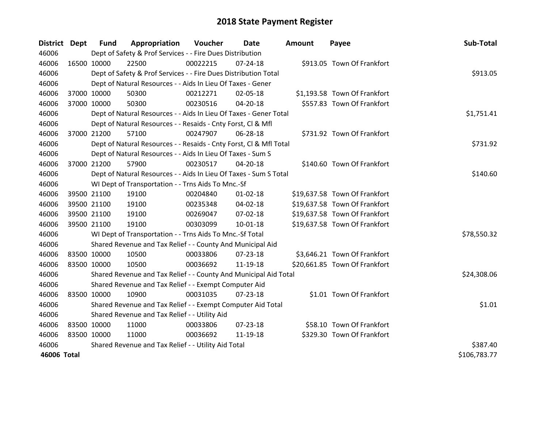| <b>District Dept</b> |             | <b>Fund</b> | Appropriation                                                      | Voucher  | Date           | <b>Amount</b> | Payee                         | Sub-Total    |
|----------------------|-------------|-------------|--------------------------------------------------------------------|----------|----------------|---------------|-------------------------------|--------------|
| 46006                |             |             | Dept of Safety & Prof Services - - Fire Dues Distribution          |          |                |               |                               |              |
| 46006                | 16500 10000 |             | 22500                                                              | 00022215 | $07 - 24 - 18$ |               | \$913.05 Town Of Frankfort    |              |
| 46006                |             |             | Dept of Safety & Prof Services - - Fire Dues Distribution Total    |          |                |               |                               | \$913.05     |
| 46006                |             |             | Dept of Natural Resources - - Aids In Lieu Of Taxes - Gener        |          |                |               |                               |              |
| 46006                |             | 37000 10000 | 50300                                                              | 00212271 | 02-05-18       |               | \$1,193.58 Town Of Frankfort  |              |
| 46006                |             | 37000 10000 | 50300                                                              | 00230516 | $04 - 20 - 18$ |               | \$557.83 Town Of Frankfort    |              |
| 46006                |             |             | Dept of Natural Resources - - Aids In Lieu Of Taxes - Gener Total  |          |                |               |                               | \$1,751.41   |
| 46006                |             |             | Dept of Natural Resources - - Resaids - Cnty Forst, CI & Mfl       |          |                |               |                               |              |
| 46006                |             | 37000 21200 | 57100                                                              | 00247907 | 06-28-18       |               | \$731.92 Town Of Frankfort    |              |
| 46006                |             |             | Dept of Natural Resources - - Resaids - Cnty Forst, CI & Mfl Total |          |                |               |                               | \$731.92     |
| 46006                |             |             | Dept of Natural Resources - - Aids In Lieu Of Taxes - Sum S        |          |                |               |                               |              |
| 46006                |             | 37000 21200 | 57900                                                              | 00230517 | 04-20-18       |               | \$140.60 Town Of Frankfort    |              |
| 46006                |             |             | Dept of Natural Resources - - Aids In Lieu Of Taxes - Sum S Total  |          |                |               |                               | \$140.60     |
| 46006                |             |             | WI Dept of Transportation - - Trns Aids To Mnc.-Sf                 |          |                |               |                               |              |
| 46006                | 39500 21100 |             | 19100                                                              | 00204840 | $01 - 02 - 18$ |               | \$19,637.58 Town Of Frankfort |              |
| 46006                |             | 39500 21100 | 19100                                                              | 00235348 | 04-02-18       |               | \$19,637.58 Town Of Frankfort |              |
| 46006                |             | 39500 21100 | 19100                                                              | 00269047 | 07-02-18       |               | \$19,637.58 Town Of Frankfort |              |
| 46006                |             | 39500 21100 | 19100                                                              | 00303099 | 10-01-18       |               | \$19,637.58 Town Of Frankfort |              |
| 46006                |             |             | WI Dept of Transportation - - Trns Aids To Mnc.-Sf Total           |          |                |               |                               | \$78,550.32  |
| 46006                |             |             | Shared Revenue and Tax Relief - - County And Municipal Aid         |          |                |               |                               |              |
| 46006                | 83500 10000 |             | 10500                                                              | 00033806 | $07 - 23 - 18$ |               | \$3,646.21 Town Of Frankfort  |              |
| 46006                | 83500 10000 |             | 10500                                                              | 00036692 | 11-19-18       |               | \$20,661.85 Town Of Frankfort |              |
| 46006                |             |             | Shared Revenue and Tax Relief - - County And Municipal Aid Total   |          |                |               |                               | \$24,308.06  |
| 46006                |             |             | Shared Revenue and Tax Relief - - Exempt Computer Aid              |          |                |               |                               |              |
| 46006                | 83500 10000 |             | 10900                                                              | 00031035 | 07-23-18       |               | \$1.01 Town Of Frankfort      |              |
| 46006                |             |             | Shared Revenue and Tax Relief - - Exempt Computer Aid Total        |          |                |               |                               | \$1.01       |
| 46006                |             |             | Shared Revenue and Tax Relief - - Utility Aid                      |          |                |               |                               |              |
| 46006                | 83500 10000 |             | 11000                                                              | 00033806 | 07-23-18       |               | \$58.10 Town Of Frankfort     |              |
| 46006                | 83500 10000 |             | 11000                                                              | 00036692 | 11-19-18       |               | \$329.30 Town Of Frankfort    |              |
| 46006                |             |             | Shared Revenue and Tax Relief - - Utility Aid Total                |          |                |               |                               | \$387.40     |
| 46006 Total          |             |             |                                                                    |          |                |               |                               | \$106,783.77 |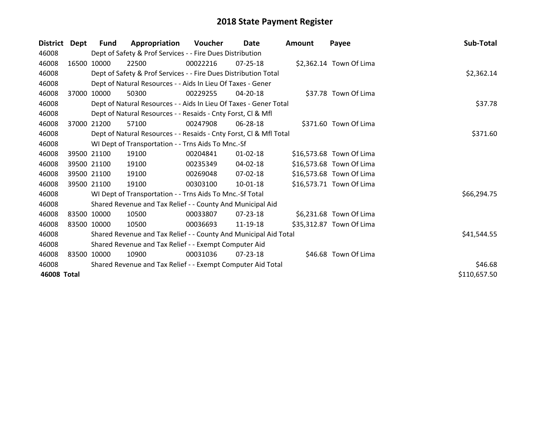| <b>District</b> | Dept  | <b>Fund</b> | Appropriation                                                      | Voucher  | Date           | <b>Amount</b> | Payee                    | Sub-Total    |
|-----------------|-------|-------------|--------------------------------------------------------------------|----------|----------------|---------------|--------------------------|--------------|
| 46008           |       |             | Dept of Safety & Prof Services - - Fire Dues Distribution          |          |                |               |                          |              |
| 46008           |       | 16500 10000 | 22500                                                              | 00022216 | $07 - 25 - 18$ |               | \$2,362.14 Town Of Lima  |              |
| 46008           |       |             | Dept of Safety & Prof Services - - Fire Dues Distribution Total    |          |                |               |                          | \$2,362.14   |
| 46008           |       |             | Dept of Natural Resources - - Aids In Lieu Of Taxes - Gener        |          |                |               |                          |              |
| 46008           | 37000 | 10000       | 50300                                                              | 00229255 | 04-20-18       |               | \$37.78 Town Of Lima     |              |
| 46008           |       |             | Dept of Natural Resources - - Aids In Lieu Of Taxes - Gener Total  |          |                |               |                          | \$37.78      |
| 46008           |       |             | Dept of Natural Resources - - Resaids - Cnty Forst, Cl & Mfl       |          |                |               |                          |              |
| 46008           | 37000 | 21200       | 57100                                                              | 00247908 | 06-28-18       |               | \$371.60 Town Of Lima    |              |
| 46008           |       |             | Dept of Natural Resources - - Resaids - Cnty Forst, Cl & Mfl Total |          |                |               |                          | \$371.60     |
| 46008           |       |             | WI Dept of Transportation - - Trns Aids To Mnc.-Sf                 |          |                |               |                          |              |
| 46008           |       | 39500 21100 | 19100                                                              | 00204841 | $01 - 02 - 18$ |               | \$16,573.68 Town Of Lima |              |
| 46008           |       | 39500 21100 | 19100                                                              | 00235349 | 04-02-18       |               | \$16,573.68 Town Of Lima |              |
| 46008           |       | 39500 21100 | 19100                                                              | 00269048 | 07-02-18       |               | \$16,573.68 Town Of Lima |              |
| 46008           |       | 39500 21100 | 19100                                                              | 00303100 | 10-01-18       |               | \$16,573.71 Town Of Lima |              |
| 46008           |       |             | WI Dept of Transportation - - Trns Aids To Mnc.-Sf Total           |          |                |               |                          | \$66,294.75  |
| 46008           |       |             | Shared Revenue and Tax Relief - - County And Municipal Aid         |          |                |               |                          |              |
| 46008           |       | 83500 10000 | 10500                                                              | 00033807 | 07-23-18       |               | \$6,231.68 Town Of Lima  |              |
| 46008           |       | 83500 10000 | 10500                                                              | 00036693 | 11-19-18       |               | \$35,312.87 Town Of Lima |              |
| 46008           |       |             | Shared Revenue and Tax Relief - - County And Municipal Aid Total   |          |                |               |                          | \$41,544.55  |
| 46008           |       |             | Shared Revenue and Tax Relief - - Exempt Computer Aid              |          |                |               |                          |              |
| 46008           |       | 83500 10000 | 10900                                                              | 00031036 | $07 - 23 - 18$ |               | \$46.68 Town Of Lima     |              |
| 46008           |       |             | Shared Revenue and Tax Relief - - Exempt Computer Aid Total        |          |                |               |                          | \$46.68      |
| 46008 Total     |       |             |                                                                    |          |                |               |                          | \$110,657.50 |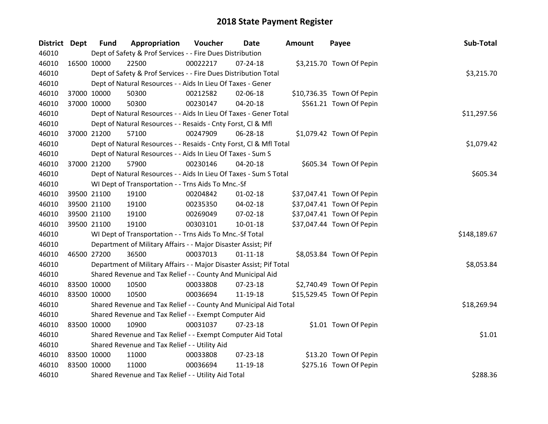| District Dept |             | <b>Fund</b>                                   | Appropriation                                                       | Voucher  | Date           | <b>Amount</b> | Payee                     | Sub-Total    |
|---------------|-------------|-----------------------------------------------|---------------------------------------------------------------------|----------|----------------|---------------|---------------------------|--------------|
| 46010         |             |                                               | Dept of Safety & Prof Services - - Fire Dues Distribution           |          |                |               |                           |              |
| 46010         |             | 16500 10000                                   | 22500                                                               | 00022217 | $07 - 24 - 18$ |               | \$3,215.70 Town Of Pepin  |              |
| 46010         |             |                                               | Dept of Safety & Prof Services - - Fire Dues Distribution Total     |          |                |               |                           | \$3,215.70   |
| 46010         |             |                                               | Dept of Natural Resources - - Aids In Lieu Of Taxes - Gener         |          |                |               |                           |              |
| 46010         |             | 37000 10000                                   | 50300                                                               | 00212582 | 02-06-18       |               | \$10,736.35 Town Of Pepin |              |
| 46010         |             | 37000 10000                                   | 50300                                                               | 00230147 | 04-20-18       |               | \$561.21 Town Of Pepin    |              |
| 46010         |             |                                               | Dept of Natural Resources - - Aids In Lieu Of Taxes - Gener Total   |          |                |               |                           | \$11,297.56  |
| 46010         |             |                                               | Dept of Natural Resources - - Resaids - Cnty Forst, Cl & Mfl        |          |                |               |                           |              |
| 46010         |             | 37000 21200                                   | 57100                                                               | 00247909 | 06-28-18       |               | \$1,079.42 Town Of Pepin  |              |
| 46010         |             |                                               | Dept of Natural Resources - - Resaids - Cnty Forst, Cl & Mfl Total  |          |                |               |                           | \$1,079.42   |
| 46010         |             |                                               | Dept of Natural Resources - - Aids In Lieu Of Taxes - Sum S         |          |                |               |                           |              |
| 46010         |             | 37000 21200                                   | 57900                                                               | 00230146 | 04-20-18       |               | \$605.34 Town Of Pepin    |              |
| 46010         |             |                                               | Dept of Natural Resources - - Aids In Lieu Of Taxes - Sum S Total   |          |                |               |                           | \$605.34     |
| 46010         |             |                                               | WI Dept of Transportation - - Trns Aids To Mnc.-Sf                  |          |                |               |                           |              |
| 46010         |             | 39500 21100                                   | 19100                                                               | 00204842 | 01-02-18       |               | \$37,047.41 Town Of Pepin |              |
| 46010         |             | 39500 21100                                   | 19100                                                               | 00235350 | 04-02-18       |               | \$37,047.41 Town Of Pepin |              |
| 46010         |             | 39500 21100                                   | 19100                                                               | 00269049 | 07-02-18       |               | \$37,047.41 Town Of Pepin |              |
| 46010         |             | 39500 21100                                   | 19100                                                               | 00303101 | 10-01-18       |               | \$37,047.44 Town Of Pepin |              |
| 46010         |             |                                               | WI Dept of Transportation - - Trns Aids To Mnc.-Sf Total            |          |                |               |                           | \$148,189.67 |
| 46010         |             |                                               | Department of Military Affairs - - Major Disaster Assist; Pif       |          |                |               |                           |              |
| 46010         |             | 46500 27200                                   | 36500                                                               | 00037013 | $01 - 11 - 18$ |               | \$8,053.84 Town Of Pepin  |              |
| 46010         |             |                                               | Department of Military Affairs - - Major Disaster Assist; Pif Total |          |                |               |                           | \$8,053.84   |
| 46010         |             |                                               | Shared Revenue and Tax Relief - - County And Municipal Aid          |          |                |               |                           |              |
| 46010         |             | 83500 10000                                   | 10500                                                               | 00033808 | 07-23-18       |               | \$2,740.49 Town Of Pepin  |              |
| 46010         | 83500 10000 |                                               | 10500                                                               | 00036694 | 11-19-18       |               | \$15,529.45 Town Of Pepin |              |
| 46010         |             |                                               | Shared Revenue and Tax Relief - - County And Municipal Aid Total    |          |                |               |                           | \$18,269.94  |
| 46010         |             |                                               | Shared Revenue and Tax Relief - - Exempt Computer Aid               |          |                |               |                           |              |
| 46010         | 83500 10000 |                                               | 10900                                                               | 00031037 | $07 - 23 - 18$ |               | \$1.01 Town Of Pepin      |              |
| 46010         |             |                                               | Shared Revenue and Tax Relief - - Exempt Computer Aid Total         |          |                |               |                           | \$1.01       |
| 46010         |             | Shared Revenue and Tax Relief - - Utility Aid |                                                                     |          |                |               |                           |              |
| 46010         | 83500 10000 |                                               | 11000                                                               | 00033808 | 07-23-18       |               | \$13.20 Town Of Pepin     |              |
| 46010         | 83500 10000 |                                               | 11000                                                               | 00036694 | 11-19-18       |               | \$275.16 Town Of Pepin    |              |
| 46010         |             |                                               | Shared Revenue and Tax Relief - - Utility Aid Total                 |          |                |               |                           | \$288.36     |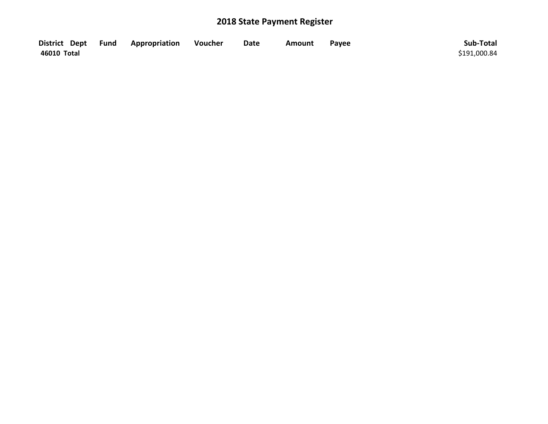|             | District Dept Fund Appropriation | Voucher | <b>Date</b> | Amount | Payee | Sub-Total    |
|-------------|----------------------------------|---------|-------------|--------|-------|--------------|
| 46010 Total |                                  |         |             |        |       | \$191,000.84 |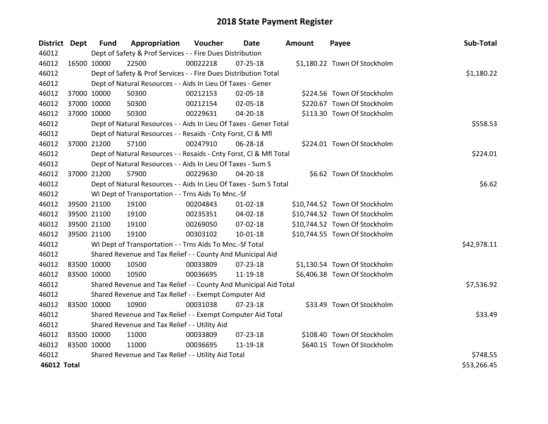| District Dept | <b>Fund</b> | Appropriation                                                      | Voucher  | Date           | <b>Amount</b> | Payee                         | Sub-Total   |
|---------------|-------------|--------------------------------------------------------------------|----------|----------------|---------------|-------------------------------|-------------|
| 46012         |             | Dept of Safety & Prof Services - - Fire Dues Distribution          |          |                |               |                               |             |
| 46012         | 16500 10000 | 22500                                                              | 00022218 | 07-25-18       |               | \$1,180.22 Town Of Stockholm  |             |
| 46012         |             | Dept of Safety & Prof Services - - Fire Dues Distribution Total    |          |                |               |                               | \$1,180.22  |
| 46012         |             | Dept of Natural Resources - - Aids In Lieu Of Taxes - Gener        |          |                |               |                               |             |
| 46012         | 37000 10000 | 50300                                                              | 00212153 | 02-05-18       |               | \$224.56 Town Of Stockholm    |             |
| 46012         | 37000 10000 | 50300                                                              | 00212154 | 02-05-18       |               | \$220.67 Town Of Stockholm    |             |
| 46012         | 37000 10000 | 50300                                                              | 00229631 | 04-20-18       |               | \$113.30 Town Of Stockholm    |             |
| 46012         |             | Dept of Natural Resources - - Aids In Lieu Of Taxes - Gener Total  |          |                |               |                               | \$558.53    |
| 46012         |             | Dept of Natural Resources - - Resaids - Cnty Forst, Cl & Mfl       |          |                |               |                               |             |
| 46012         | 37000 21200 | 57100                                                              | 00247910 | 06-28-18       |               | \$224.01 Town Of Stockholm    |             |
| 46012         |             | Dept of Natural Resources - - Resaids - Cnty Forst, Cl & Mfl Total |          |                |               |                               | \$224.01    |
| 46012         |             | Dept of Natural Resources - - Aids In Lieu Of Taxes - Sum S        |          |                |               |                               |             |
| 46012         | 37000 21200 | 57900                                                              | 00229630 | 04-20-18       |               | \$6.62 Town Of Stockholm      |             |
| 46012         |             | Dept of Natural Resources - - Aids In Lieu Of Taxes - Sum S Total  |          |                |               |                               | \$6.62      |
| 46012         |             | WI Dept of Transportation - - Trns Aids To Mnc.-Sf                 |          |                |               |                               |             |
| 46012         | 39500 21100 | 19100                                                              | 00204843 | $01 - 02 - 18$ |               | \$10,744.52 Town Of Stockholm |             |
| 46012         | 39500 21100 | 19100                                                              | 00235351 | 04-02-18       |               | \$10,744.52 Town Of Stockholm |             |
| 46012         | 39500 21100 | 19100                                                              | 00269050 | 07-02-18       |               | \$10,744.52 Town Of Stockholm |             |
| 46012         | 39500 21100 | 19100                                                              | 00303102 | 10-01-18       |               | \$10,744.55 Town Of Stockholm |             |
| 46012         |             | WI Dept of Transportation - - Trns Aids To Mnc.-Sf Total           |          |                |               |                               | \$42,978.11 |
| 46012         |             | Shared Revenue and Tax Relief - - County And Municipal Aid         |          |                |               |                               |             |
| 46012         | 83500 10000 | 10500                                                              | 00033809 | 07-23-18       |               | \$1,130.54 Town Of Stockholm  |             |
| 46012         | 83500 10000 | 10500                                                              | 00036695 | 11-19-18       |               | \$6,406.38 Town Of Stockholm  |             |
| 46012         |             | Shared Revenue and Tax Relief - - County And Municipal Aid Total   |          |                |               |                               | \$7,536.92  |
| 46012         |             | Shared Revenue and Tax Relief - - Exempt Computer Aid              |          |                |               |                               |             |
| 46012         | 83500 10000 | 10900                                                              | 00031038 | $07 - 23 - 18$ |               | \$33.49 Town Of Stockholm     |             |
| 46012         |             | Shared Revenue and Tax Relief - - Exempt Computer Aid Total        |          |                |               |                               | \$33.49     |
| 46012         |             | Shared Revenue and Tax Relief - - Utility Aid                      |          |                |               |                               |             |
| 46012         | 83500 10000 | 11000                                                              | 00033809 | $07 - 23 - 18$ |               | \$108.40 Town Of Stockholm    |             |
| 46012         | 83500 10000 | 11000                                                              | 00036695 | 11-19-18       |               | \$640.15 Town Of Stockholm    |             |
| 46012         |             | Shared Revenue and Tax Relief - - Utility Aid Total                |          |                |               |                               | \$748.55    |
| 46012 Total   |             |                                                                    |          |                |               |                               | \$53,266.45 |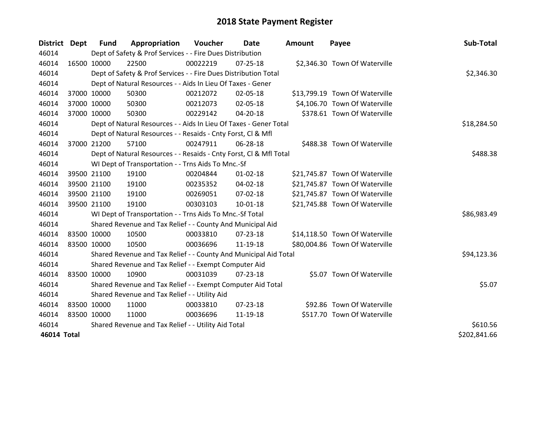| <b>District</b> | Dept        | Fund        | Appropriation                                                      | Voucher  | Date           | <b>Amount</b> | Payee                          | Sub-Total    |
|-----------------|-------------|-------------|--------------------------------------------------------------------|----------|----------------|---------------|--------------------------------|--------------|
| 46014           |             |             | Dept of Safety & Prof Services - - Fire Dues Distribution          |          |                |               |                                |              |
| 46014           |             | 16500 10000 | 22500                                                              | 00022219 | 07-25-18       |               | \$2,346.30 Town Of Waterville  |              |
| 46014           |             |             | Dept of Safety & Prof Services - - Fire Dues Distribution Total    |          |                |               |                                | \$2,346.30   |
| 46014           |             |             | Dept of Natural Resources - - Aids In Lieu Of Taxes - Gener        |          |                |               |                                |              |
| 46014           |             | 37000 10000 | 50300                                                              | 00212072 | 02-05-18       |               | \$13,799.19 Town Of Waterville |              |
| 46014           |             | 37000 10000 | 50300                                                              | 00212073 | 02-05-18       |               | \$4,106.70 Town Of Waterville  |              |
| 46014           |             | 37000 10000 | 50300                                                              | 00229142 | 04-20-18       |               | \$378.61 Town Of Waterville    |              |
| 46014           |             |             | Dept of Natural Resources - - Aids In Lieu Of Taxes - Gener Total  |          |                |               |                                | \$18,284.50  |
| 46014           |             |             | Dept of Natural Resources - - Resaids - Cnty Forst, CI & Mfl       |          |                |               |                                |              |
| 46014           |             | 37000 21200 | 57100                                                              | 00247911 | 06-28-18       |               | \$488.38 Town Of Waterville    |              |
| 46014           |             |             | Dept of Natural Resources - - Resaids - Cnty Forst, CI & Mfl Total |          |                |               |                                | \$488.38     |
| 46014           |             |             | WI Dept of Transportation - - Trns Aids To Mnc.-Sf                 |          |                |               |                                |              |
| 46014           |             | 39500 21100 | 19100                                                              | 00204844 | $01 - 02 - 18$ |               | \$21,745.87 Town Of Waterville |              |
| 46014           |             | 39500 21100 | 19100                                                              | 00235352 | 04-02-18       |               | \$21,745.87 Town Of Waterville |              |
| 46014           |             | 39500 21100 | 19100                                                              | 00269051 | 07-02-18       |               | \$21,745.87 Town Of Waterville |              |
| 46014           |             | 39500 21100 | 19100                                                              | 00303103 | $10 - 01 - 18$ |               | \$21,745.88 Town Of Waterville |              |
| 46014           |             |             | WI Dept of Transportation - - Trns Aids To Mnc.-Sf Total           |          |                |               |                                | \$86,983.49  |
| 46014           |             |             | Shared Revenue and Tax Relief - - County And Municipal Aid         |          |                |               |                                |              |
| 46014           |             | 83500 10000 | 10500                                                              | 00033810 | 07-23-18       |               | \$14,118.50 Town Of Waterville |              |
| 46014           |             | 83500 10000 | 10500                                                              | 00036696 | 11-19-18       |               | \$80,004.86 Town Of Waterville |              |
| 46014           |             |             | Shared Revenue and Tax Relief - - County And Municipal Aid Total   |          |                |               |                                | \$94,123.36  |
| 46014           |             |             | Shared Revenue and Tax Relief - - Exempt Computer Aid              |          |                |               |                                |              |
| 46014           |             | 83500 10000 | 10900                                                              | 00031039 | $07 - 23 - 18$ |               | \$5.07 Town Of Waterville      |              |
| 46014           |             |             | Shared Revenue and Tax Relief - - Exempt Computer Aid Total        |          |                |               |                                | \$5.07       |
| 46014           |             |             | Shared Revenue and Tax Relief - - Utility Aid                      |          |                |               |                                |              |
| 46014           | 83500 10000 |             | 11000                                                              | 00033810 | $07 - 23 - 18$ |               | \$92.86 Town Of Waterville     |              |
| 46014           | 83500 10000 |             | 11000                                                              | 00036696 | 11-19-18       |               | \$517.70 Town Of Waterville    |              |
| 46014           |             |             | Shared Revenue and Tax Relief - - Utility Aid Total                |          |                |               |                                | \$610.56     |
| 46014 Total     |             |             |                                                                    |          |                |               |                                | \$202,841.66 |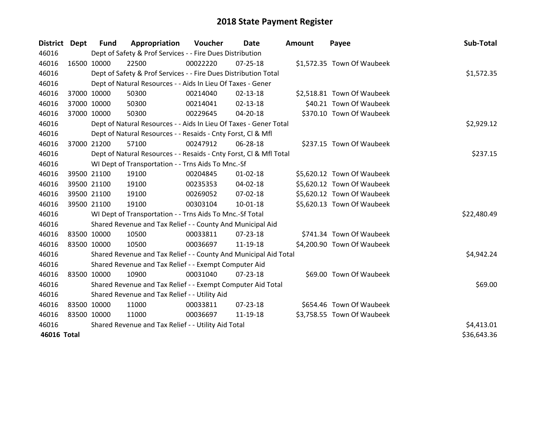| <b>District</b> | Dept        | Fund        | Appropriation                                                      | Voucher  | Date           | <b>Amount</b> | Payee                      | Sub-Total   |
|-----------------|-------------|-------------|--------------------------------------------------------------------|----------|----------------|---------------|----------------------------|-------------|
| 46016           |             |             | Dept of Safety & Prof Services - - Fire Dues Distribution          |          |                |               |                            |             |
| 46016           |             | 16500 10000 | 22500                                                              | 00022220 | 07-25-18       |               | \$1,572.35 Town Of Waubeek |             |
| 46016           |             |             | Dept of Safety & Prof Services - - Fire Dues Distribution Total    |          |                |               |                            | \$1,572.35  |
| 46016           |             |             | Dept of Natural Resources - - Aids In Lieu Of Taxes - Gener        |          |                |               |                            |             |
| 46016           |             | 37000 10000 | 50300                                                              | 00214040 | 02-13-18       |               | \$2,518.81 Town Of Waubeek |             |
| 46016           |             | 37000 10000 | 50300                                                              | 00214041 | $02 - 13 - 18$ |               | \$40.21 Town Of Waubeek    |             |
| 46016           |             | 37000 10000 | 50300                                                              | 00229645 | 04-20-18       |               | \$370.10 Town Of Waubeek   |             |
| 46016           |             |             | Dept of Natural Resources - - Aids In Lieu Of Taxes - Gener Total  |          |                |               |                            | \$2,929.12  |
| 46016           |             |             | Dept of Natural Resources - - Resaids - Cnty Forst, CI & Mfl       |          |                |               |                            |             |
| 46016           |             | 37000 21200 | 57100                                                              | 00247912 | 06-28-18       |               | \$237.15 Town Of Waubeek   |             |
| 46016           |             |             | Dept of Natural Resources - - Resaids - Cnty Forst, Cl & Mfl Total |          |                |               |                            | \$237.15    |
| 46016           |             |             | WI Dept of Transportation - - Trns Aids To Mnc.-Sf                 |          |                |               |                            |             |
| 46016           |             | 39500 21100 | 19100                                                              | 00204845 | $01 - 02 - 18$ |               | \$5,620.12 Town Of Waubeek |             |
| 46016           |             | 39500 21100 | 19100                                                              | 00235353 | 04-02-18       |               | \$5,620.12 Town Of Waubeek |             |
| 46016           |             | 39500 21100 | 19100                                                              | 00269052 | 07-02-18       |               | \$5,620.12 Town Of Waubeek |             |
| 46016           |             | 39500 21100 | 19100                                                              | 00303104 | $10 - 01 - 18$ |               | \$5,620.13 Town Of Waubeek |             |
| 46016           |             |             | WI Dept of Transportation - - Trns Aids To Mnc.-Sf Total           |          |                |               |                            | \$22,480.49 |
| 46016           |             |             | Shared Revenue and Tax Relief - - County And Municipal Aid         |          |                |               |                            |             |
| 46016           |             | 83500 10000 | 10500                                                              | 00033811 | $07 - 23 - 18$ |               | \$741.34 Town Of Waubeek   |             |
| 46016           |             | 83500 10000 | 10500                                                              | 00036697 | 11-19-18       |               | \$4,200.90 Town Of Waubeek |             |
| 46016           |             |             | Shared Revenue and Tax Relief - - County And Municipal Aid Total   |          |                |               |                            | \$4,942.24  |
| 46016           |             |             | Shared Revenue and Tax Relief - - Exempt Computer Aid              |          |                |               |                            |             |
| 46016           |             | 83500 10000 | 10900                                                              | 00031040 | $07 - 23 - 18$ |               | \$69.00 Town Of Waubeek    |             |
| 46016           |             |             | Shared Revenue and Tax Relief - - Exempt Computer Aid Total        |          |                |               |                            | \$69.00     |
| 46016           |             |             | Shared Revenue and Tax Relief - - Utility Aid                      |          |                |               |                            |             |
| 46016           | 83500 10000 |             | 11000                                                              | 00033811 | 07-23-18       |               | \$654.46 Town Of Waubeek   |             |
| 46016           | 83500 10000 |             | 11000                                                              | 00036697 | 11-19-18       |               | \$3,758.55 Town Of Waubeek |             |
| 46016           |             |             | Shared Revenue and Tax Relief - - Utility Aid Total                |          |                |               |                            | \$4,413.01  |
| 46016 Total     |             |             |                                                                    |          |                |               |                            | \$36,643.36 |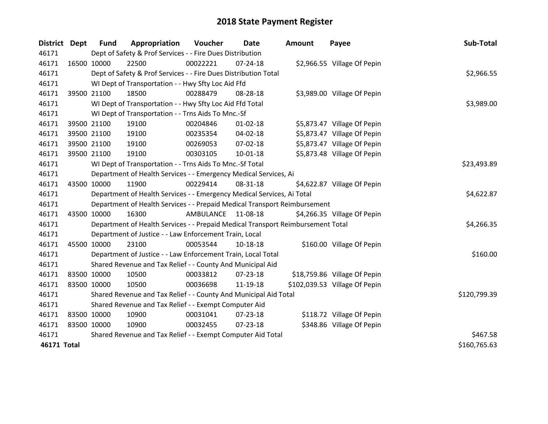| <b>District</b> | Dept        | <b>Fund</b> | Appropriation                                                                   | Voucher    | Date           | <b>Amount</b> | Payee                         | Sub-Total    |
|-----------------|-------------|-------------|---------------------------------------------------------------------------------|------------|----------------|---------------|-------------------------------|--------------|
| 46171           |             |             | Dept of Safety & Prof Services - - Fire Dues Distribution                       |            |                |               |                               |              |
| 46171           |             | 16500 10000 | 22500                                                                           | 00022221   | $07 - 24 - 18$ |               | \$2,966.55 Village Of Pepin   |              |
| 46171           |             |             | Dept of Safety & Prof Services - - Fire Dues Distribution Total                 | \$2,966.55 |                |               |                               |              |
| 46171           |             |             | WI Dept of Transportation - - Hwy Sfty Loc Aid Ffd                              |            |                |               |                               |              |
| 46171           |             | 39500 21100 | 18500                                                                           | 00288479   | 08-28-18       |               | \$3,989.00 Village Of Pepin   |              |
| 46171           |             |             | WI Dept of Transportation - - Hwy Sfty Loc Aid Ffd Total                        |            |                |               |                               | \$3,989.00   |
| 46171           |             |             | WI Dept of Transportation - - Trns Aids To Mnc.-Sf                              |            |                |               |                               |              |
| 46171           |             | 39500 21100 | 19100                                                                           | 00204846   | $01 - 02 - 18$ |               | \$5,873.47 Village Of Pepin   |              |
| 46171           |             | 39500 21100 | 19100                                                                           | 00235354   | 04-02-18       |               | \$5,873.47 Village Of Pepin   |              |
| 46171           |             | 39500 21100 | 19100                                                                           | 00269053   | 07-02-18       |               | \$5,873.47 Village Of Pepin   |              |
| 46171           |             | 39500 21100 | 19100                                                                           | 00303105   | $10 - 01 - 18$ |               | \$5,873.48 Village Of Pepin   |              |
| 46171           |             |             | WI Dept of Transportation - - Trns Aids To Mnc.-Sf Total                        |            |                |               |                               | \$23,493.89  |
| 46171           |             |             | Department of Health Services - - Emergency Medical Services, Ai                |            |                |               |                               |              |
| 46171           |             | 43500 10000 | 11900                                                                           | 00229414   | 08-31-18       |               | \$4,622.87 Village Of Pepin   |              |
| 46171           |             |             | Department of Health Services - - Emergency Medical Services, Ai Total          |            |                |               |                               | \$4,622.87   |
| 46171           |             |             | Department of Health Services - - Prepaid Medical Transport Reimbursement       |            |                |               |                               |              |
| 46171           |             | 43500 10000 | 16300                                                                           | AMBULANCE  | 11-08-18       |               | \$4,266.35 Village Of Pepin   |              |
| 46171           |             |             | Department of Health Services - - Prepaid Medical Transport Reimbursement Total |            |                |               |                               | \$4,266.35   |
| 46171           |             |             | Department of Justice - - Law Enforcement Train, Local                          |            |                |               |                               |              |
| 46171           |             | 45500 10000 | 23100                                                                           | 00053544   | 10-18-18       |               | \$160.00 Village Of Pepin     |              |
| 46171           |             |             | Department of Justice - - Law Enforcement Train, Local Total                    |            |                |               |                               | \$160.00     |
| 46171           |             |             | Shared Revenue and Tax Relief - - County And Municipal Aid                      |            |                |               |                               |              |
| 46171           | 83500 10000 |             | 10500                                                                           | 00033812   | 07-23-18       |               | \$18,759.86 Village Of Pepin  |              |
| 46171           |             | 83500 10000 | 10500                                                                           | 00036698   | 11-19-18       |               | \$102,039.53 Village Of Pepin |              |
| 46171           |             |             | Shared Revenue and Tax Relief - - County And Municipal Aid Total                |            |                |               |                               | \$120,799.39 |
| 46171           |             |             | Shared Revenue and Tax Relief - - Exempt Computer Aid                           |            |                |               |                               |              |
| 46171           | 83500 10000 |             | 10900                                                                           | 00031041   | 07-23-18       |               | \$118.72 Village Of Pepin     |              |
| 46171           | 83500 10000 |             | 10900                                                                           | 00032455   | 07-23-18       |               | \$348.86 Village Of Pepin     |              |
| 46171           |             |             | Shared Revenue and Tax Relief - - Exempt Computer Aid Total                     |            |                |               |                               | \$467.58     |
| 46171 Total     |             |             |                                                                                 |            |                |               |                               | \$160,765.63 |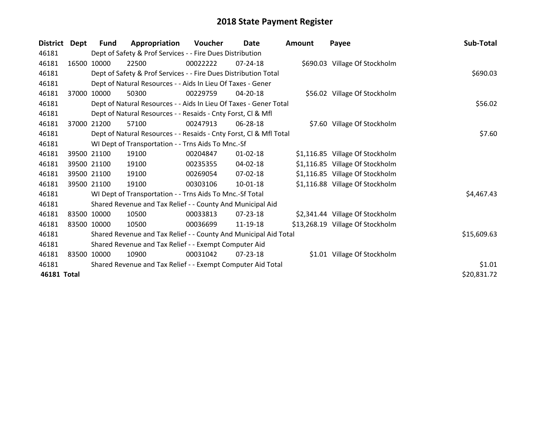| <b>District</b> | Dept  | <b>Fund</b> | Appropriation                                                      | Voucher  | Date           | <b>Amount</b> | Payee                            | Sub-Total   |
|-----------------|-------|-------------|--------------------------------------------------------------------|----------|----------------|---------------|----------------------------------|-------------|
| 46181           |       |             | Dept of Safety & Prof Services - - Fire Dues Distribution          |          |                |               |                                  |             |
| 46181           |       | 16500 10000 | 22500                                                              | 00022222 | $07 - 24 - 18$ |               | \$690.03 Village Of Stockholm    |             |
| 46181           |       |             | Dept of Safety & Prof Services - - Fire Dues Distribution Total    |          |                |               |                                  | \$690.03    |
| 46181           |       |             | Dept of Natural Resources - - Aids In Lieu Of Taxes - Gener        |          |                |               |                                  |             |
| 46181           | 37000 | 10000       | 50300                                                              | 00229759 | $04 - 20 - 18$ |               | \$56.02 Village Of Stockholm     |             |
| 46181           |       |             | Dept of Natural Resources - - Aids In Lieu Of Taxes - Gener Total  |          |                |               |                                  | \$56.02     |
| 46181           |       |             | Dept of Natural Resources - - Resaids - Cnty Forst, CI & Mfl       |          |                |               |                                  |             |
| 46181           | 37000 | 21200       | 57100                                                              | 00247913 | 06-28-18       |               | \$7.60 Village Of Stockholm      |             |
| 46181           |       |             | Dept of Natural Resources - - Resaids - Cnty Forst, Cl & Mfl Total |          |                |               |                                  | \$7.60      |
| 46181           |       |             | WI Dept of Transportation - - Trns Aids To Mnc.-Sf                 |          |                |               |                                  |             |
| 46181           |       | 39500 21100 | 19100                                                              | 00204847 | $01 - 02 - 18$ |               | \$1,116.85 Village Of Stockholm  |             |
| 46181           |       | 39500 21100 | 19100                                                              | 00235355 | $04 - 02 - 18$ |               | \$1,116.85 Village Of Stockholm  |             |
| 46181           |       | 39500 21100 | 19100                                                              | 00269054 | 07-02-18       |               | \$1,116.85 Village Of Stockholm  |             |
| 46181           |       | 39500 21100 | 19100                                                              | 00303106 | $10-01-18$     |               | \$1,116.88 Village Of Stockholm  |             |
| 46181           |       |             | WI Dept of Transportation - - Trns Aids To Mnc.-Sf Total           |          |                |               |                                  | \$4,467.43  |
| 46181           |       |             | Shared Revenue and Tax Relief - - County And Municipal Aid         |          |                |               |                                  |             |
| 46181           |       | 83500 10000 | 10500                                                              | 00033813 | $07 - 23 - 18$ |               | \$2,341.44 Village Of Stockholm  |             |
| 46181           |       | 83500 10000 | 10500                                                              | 00036699 | 11-19-18       |               | \$13,268.19 Village Of Stockholm |             |
| 46181           |       |             | Shared Revenue and Tax Relief - - County And Municipal Aid Total   |          |                |               |                                  | \$15,609.63 |
| 46181           |       |             | Shared Revenue and Tax Relief - - Exempt Computer Aid              |          |                |               |                                  |             |
| 46181           | 83500 | 10000       | 10900                                                              | 00031042 | $07 - 23 - 18$ |               | \$1.01 Village Of Stockholm      |             |
| 46181           |       |             | Shared Revenue and Tax Relief - - Exempt Computer Aid Total        |          |                |               |                                  | \$1.01      |
| 46181 Total     |       |             |                                                                    |          |                |               |                                  | \$20,831.72 |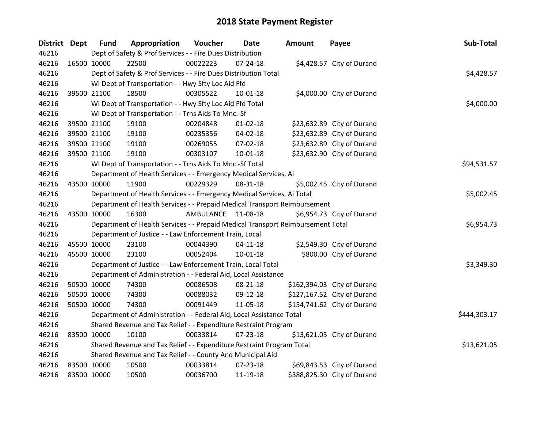| District Dept | <b>Fund</b> | Appropriation                                                                   | Voucher   | <b>Date</b>    | <b>Amount</b> | Payee                       | Sub-Total    |
|---------------|-------------|---------------------------------------------------------------------------------|-----------|----------------|---------------|-----------------------------|--------------|
| 46216         |             | Dept of Safety & Prof Services - - Fire Dues Distribution                       |           |                |               |                             |              |
| 46216         | 16500 10000 | 22500                                                                           | 00022223  | $07 - 24 - 18$ |               | \$4,428.57 City of Durand   |              |
| 46216         |             | Dept of Safety & Prof Services - - Fire Dues Distribution Total                 |           |                |               |                             | \$4,428.57   |
| 46216         |             | WI Dept of Transportation - - Hwy Sfty Loc Aid Ffd                              |           |                |               |                             |              |
| 46216         | 39500 21100 | 18500                                                                           | 00305522  | $10 - 01 - 18$ |               | \$4,000.00 City of Durand   |              |
| 46216         |             | WI Dept of Transportation - - Hwy Sfty Loc Aid Ffd Total                        |           |                |               |                             | \$4,000.00   |
| 46216         |             | WI Dept of Transportation - - Trns Aids To Mnc.-Sf                              |           |                |               |                             |              |
| 46216         | 39500 21100 | 19100                                                                           | 00204848  | $01 - 02 - 18$ |               | \$23,632.89 City of Durand  |              |
| 46216         | 39500 21100 | 19100                                                                           | 00235356  | 04-02-18       |               | \$23,632.89 City of Durand  |              |
| 46216         | 39500 21100 | 19100                                                                           | 00269055  | 07-02-18       |               | \$23,632.89 City of Durand  |              |
| 46216         | 39500 21100 | 19100                                                                           | 00303107  | $10 - 01 - 18$ |               | \$23,632.90 City of Durand  |              |
| 46216         |             | WI Dept of Transportation - - Trns Aids To Mnc.-Sf Total                        |           |                |               |                             | \$94,531.57  |
| 46216         |             | Department of Health Services - - Emergency Medical Services, Ai                |           |                |               |                             |              |
| 46216         | 43500 10000 | 11900                                                                           | 00229329  | 08-31-18       |               | \$5,002.45 City of Durand   |              |
| 46216         |             | Department of Health Services - - Emergency Medical Services, Ai Total          |           |                |               |                             | \$5,002.45   |
| 46216         |             | Department of Health Services - - Prepaid Medical Transport Reimbursement       |           |                |               |                             |              |
| 46216         | 43500 10000 | 16300                                                                           | AMBULANCE | 11-08-18       |               | \$6,954.73 City of Durand   |              |
| 46216         |             | Department of Health Services - - Prepaid Medical Transport Reimbursement Total |           |                |               |                             | \$6,954.73   |
| 46216         |             | Department of Justice - - Law Enforcement Train, Local                          |           |                |               |                             |              |
| 46216         | 45500 10000 | 23100                                                                           | 00044390  | $04-11-18$     |               | \$2,549.30 City of Durand   |              |
| 46216         | 45500 10000 | 23100                                                                           | 00052404  | $10 - 01 - 18$ |               | \$800.00 City of Durand     |              |
| 46216         |             | Department of Justice - - Law Enforcement Train, Local Total                    |           |                |               |                             | \$3,349.30   |
| 46216         |             | Department of Administration - - Federal Aid, Local Assistance                  |           |                |               |                             |              |
| 46216         | 50500 10000 | 74300                                                                           | 00086508  | 08-21-18       |               | \$162,394.03 City of Durand |              |
| 46216         | 50500 10000 | 74300                                                                           | 00088032  | 09-12-18       |               | \$127,167.52 City of Durand |              |
| 46216         | 50500 10000 | 74300                                                                           | 00091449  | 11-05-18       |               | \$154,741.62 City of Durand |              |
| 46216         |             | Department of Administration - - Federal Aid, Local Assistance Total            |           |                |               |                             | \$444,303.17 |
| 46216         |             | Shared Revenue and Tax Relief - - Expenditure Restraint Program                 |           |                |               |                             |              |
| 46216         | 83500 10000 | 10100                                                                           | 00033814  | 07-23-18       |               | \$13,621.05 City of Durand  |              |
| 46216         |             | Shared Revenue and Tax Relief - - Expenditure Restraint Program Total           |           |                |               |                             | \$13,621.05  |
| 46216         |             | Shared Revenue and Tax Relief - - County And Municipal Aid                      |           |                |               |                             |              |
| 46216         | 83500 10000 | 10500                                                                           | 00033814  | 07-23-18       |               | \$69,843.53 City of Durand  |              |
| 46216         | 83500 10000 | 10500                                                                           | 00036700  | 11-19-18       |               | \$388,825.30 City of Durand |              |